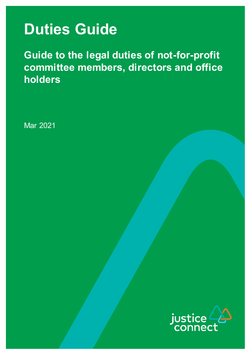# **Duties Guide**

**Guide to the legal duties of not-for-profit committee members, directors and office holders**

Mar 2021

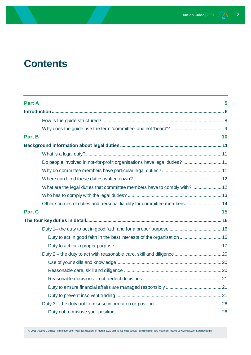## **Contents**

| <b>Part A</b>                                                            | 5  |
|--------------------------------------------------------------------------|----|
|                                                                          |    |
|                                                                          |    |
|                                                                          |    |
| <b>Part B</b>                                                            | 10 |
|                                                                          |    |
|                                                                          |    |
| Do people involved in not-for-profit organisations have legal duties? 11 |    |
|                                                                          |    |
|                                                                          |    |
| What are the legal duties that committee members have to comply with? 12 |    |
|                                                                          |    |
| Other sources of duties and personal liability for committee members 14  |    |
| <b>Part C</b>                                                            | 15 |
|                                                                          |    |
|                                                                          |    |
| Duty to act in good faith in the best interests of the organisation  16  |    |
|                                                                          |    |
|                                                                          |    |
|                                                                          |    |
|                                                                          |    |
|                                                                          |    |
|                                                                          |    |
|                                                                          |    |
|                                                                          |    |
|                                                                          |    |

© 2021 Justice Connect. This information was last updated in March 2021 and is not legal advice; full disclaimer and copyright notice at www.nfplaw.org.au/disclai mer.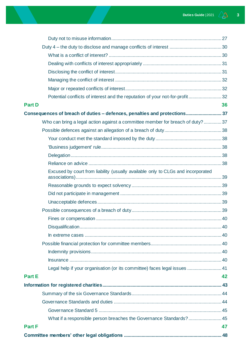| Potential conflicts of interest and the reputation of your not-for-profit 32     |    |
|----------------------------------------------------------------------------------|----|
| <b>Part D</b>                                                                    | 36 |
| Consequences of breach of duties - defences, penalties and protections 37        |    |
| Who can bring a legal action against a committee member for breach of duty?37    |    |
|                                                                                  |    |
|                                                                                  |    |
|                                                                                  |    |
|                                                                                  |    |
|                                                                                  |    |
| Excused by court from liability (usually available only to CLGs and incorporated |    |
|                                                                                  |    |
|                                                                                  |    |
|                                                                                  |    |
|                                                                                  |    |
|                                                                                  |    |
|                                                                                  |    |
|                                                                                  |    |
|                                                                                  |    |
|                                                                                  |    |
|                                                                                  |    |
| Legal help if your organisation (or its committee) faces legal issues  41        |    |
| <b>Part E</b>                                                                    | 42 |
|                                                                                  |    |
|                                                                                  |    |
|                                                                                  |    |
|                                                                                  |    |
| What if a responsible person breaches the Governance Standards? 45               |    |
| <b>Part F</b>                                                                    | 47 |
|                                                                                  |    |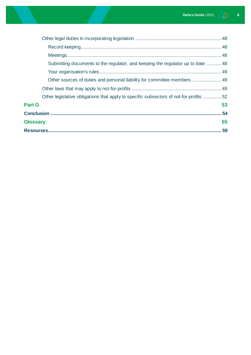| Submitting documents to the regulator, and keeping the regulator up to date  48       |
|---------------------------------------------------------------------------------------|
|                                                                                       |
| Other sources of duties and personal liability for committee members 49               |
|                                                                                       |
| Other legislative obligations that apply to specific subsectors of not-for-profits 52 |
| <b>Part G</b><br>53                                                                   |
|                                                                                       |
| 55<br><b>Glossary</b>                                                                 |
| 59                                                                                    |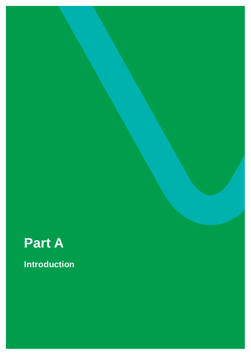<span id="page-4-0"></span>

**Introduction**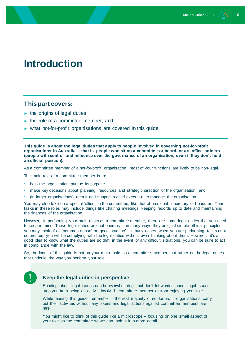## <span id="page-5-0"></span>**Introduction**

#### **This part covers:**

- $\blacktriangleright$  the origins of legal duties
- $\blacktriangleright$  the role of a committee member, and
- ► what not-for-profit organisations are covered in this guide

**This guide is about the legal duties that apply to people involved in governing not-for-profit organisations in Australia – that is, people who sit on a committee or board, or are office holders (people with control and influence over the governance of an organisation, even if they don't hold an official position).**

As a committee member of a not-for-profit organisation, most of your functions are likely to be non-legal.

The main role of a committee member is to:

- help the organisation pursue its purpose
- make key decisions about planning, resources and strategic direction of the organisation, and
- (in larger organisations) recruit and support a chief executive to manage the organisation

You may also take on a special 'office' in the committee, like that of president, secretary or treasurer. Your tasks in these roles may include things like chairing meetings, keeping records up to date and maintaining the finances of the organisation.

However, in performing your main tasks as a committee member, there are some legal duties that you need to keep in mind. These legal duties are not onerous – in many ways they are just simple ethical principles you may think of as 'common sense' or 'good practice'. In many cases, when you are performing tasks on a committee, you will be complying with the legal duties without even thinking about them. However, it's a good idea to know what the duties are so that, in the event of any difficult situations, you can be sure to act in compliance with the law.

So, the focus of this guide is not on your main tasks as a committee member, but rather on the legal duties that underlie the way you perform your role.

#### **Keep the legal duties in perspective**

Reading about legal issues can be overwhelming, but don't let worries about legal issues stop you from being an active, involved committee member or from enjoying your role.

While reading this guide, remember – the vast majority of not-for-profit organisations carry out their activities without any issues and legal actions against committee members are rare.

You might like to think of this guide like a microscope – focusing on one small aspect of your role on the committee so we can look at it in more detail.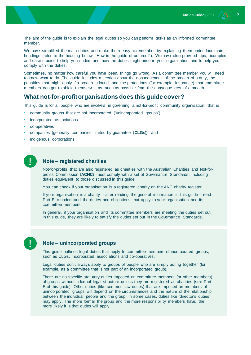The aim of the guide is to explain the legal duties so you can perform tasks as an informed committee member.

We have simplified the main duties and make them easy to remember by explaining them under four main headings (refer to the heading below, 'How is the guide structured?'). We have also provided tips, examples and case studies to help you understand how the duties might arise in your organisation and to help you comply with the duties.

Sometimes, no matter how careful you have been, things go wrong. As a committee member you will need to know what to do. The guide includes a section about the consequences of the breach of a duty, the penalties that might apply if a breach is found, and the protections (for example, insurance) that committee members can get to shield themselves as much as possible from the consequences of a breach.

#### **What not-for-profit organisations does this guide cover?**

This guide is for all people who are involved in governing a not-for-profit community organisation, that is:

- community groups that are not incorporated ('unincorporated groups')
- incorporated associations
- co-operatives
- companies (generally companies limited by guarantee (**CLGs**)), and
- Indigenous corporations

#### **Note – registered charities**

Not-for-profits that are also registered as charities with the Australian Charities and Not-forprofits Commission (**ACNC**) must comply with a set of [Governance Standards,](https://www.acnc.gov.au/for-charities/manage-your-charity/governance-hub/governance-standards) including duties equivalent to those discussed in this guide.

You can check if your organisation is a registered charity on th[e ANC charity register.](https://www.acnc.gov.au/charity)

If your organisation is a charity – after reading the general information in this guide – read Part E to understand the duties and obligations that apply to your organisation and its committee members.

In general, if your organisation and its committee members are meeting the duties set out in this guide, they are likely to satisfy the duties set out in the Governance Standards.

#### **Note – unincorporated groups**

This guide outlines legal duties that apply to committee members of incorporated groups, such as CLGs, incorporated associations and co-operatives.

Legal duties don't always apply to groups of people who are simply acting together (for example, as a committee that is not part of an incorporated group).

There are no specific statutory duties imposed on committee members (or other members) of groups without a formal legal structure unless they are registered as charities (see Part E of this guide). Other duties (like common law duties) that are imposed on members of unincorporated groups will depend on the circumstances and the nature of the relationship between the individual people and the group. In some cases, duties like 'director's duties' may apply. The more formal the group and the more responsibility members have, the more likely it is that duties will apply.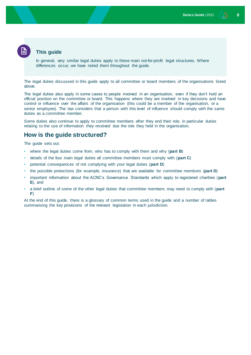#### **This guide**

In general, very similar legal duties apply to these main not-for-profit legal structures. Where differences occur, we have noted them throughout the guide.

The legal duties discussed in this guide apply to all committee or board members of the organisations listed above.

The legal duties also apply in some cases to people involved in an organisation, even if they don't hold an official position on the committee or board. This happens where they are involved in key decisions and have control or influence over the affairs of the organisation (this could be a member of the organisation, or a senior employee). The law considers that a person with this level of influence should comply with the same duties as a committee member.

Some duties also continue to apply to committee members after they end their role, in particular duties relating to the use of information they received due the role they held in the organisation.

#### <span id="page-7-0"></span>**How is the guide structured?**

The guide sets out:

- where the legal duties come from, who has to comply with them and why (**part B**)
- details of the four main legal duties all committee members must comply with (**part C**)
- potential consequences of not complying with your legal duties (**part D**)
- the possible protections (for example, insurance) that are available for committee members (**part D**)
- important information about the ACNC's Governance Standards which apply to registered charities (**part E**), and
- a brief outline of some of the other legal duties that committee members may need to comply with (**part F**)

At the end of this guide, there is a glossary of common terms used in the guide and a number of tables summarising the key provisions of the relevant legislation in each jurisdiction.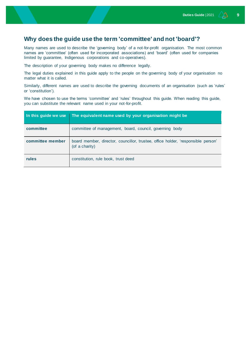#### <span id="page-8-0"></span>**Why does the guide use the term 'committee' and not 'board'?**

Many names are used to describe the 'governing body' of a not-for-profit organisation. The most common names are 'committee' (often used for incorporated associations) and 'board' (often used for companies limited by guarantee, Indigenous corporations and co-operatives).

The description of your governing body makes no difference legally.

The legal duties explained in this guide apply to the people on the governing body of your organisation no matter what it is called.

Similarly, different names are used to describe the governing documents of an organisation (such as 'rules' or 'constitution').

We have chosen to use the terms 'committee' and 'rules' throughout this guide. When reading this guide, you can substitute the relevant name used in your not-for-profit.

| In this guide we use | The equivalent name used by your organisation might be                                             |
|----------------------|----------------------------------------------------------------------------------------------------|
| committee            | committee of management, board, council, governing body                                            |
| committee member     | board member, director, councillor, trustee, office holder, 'responsible person'<br>(of a charity) |
| rules                | constitution, rule book, trust deed                                                                |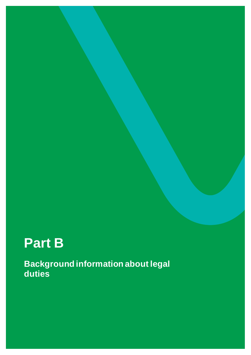# <span id="page-9-0"></span>**Part B**

**Background information about legal duties**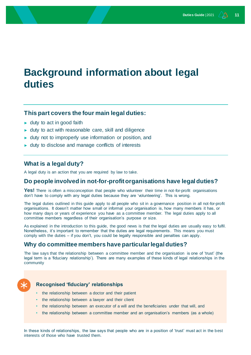## <span id="page-10-0"></span>**Background information about legal duties**

#### **This part covers the four main legal duties:**

- $\blacktriangleright$  duty to act in good faith
- ► duty to act with reasonable care, skill and diligence
- ► duty not to improperly use information or position, and
- ► duty to disclose and manage conflicts of interests

#### <span id="page-10-1"></span>**What is a legal duty?**

A legal duty is an action that you are required by law to take.

#### <span id="page-10-2"></span>**Do people involved in not-for-profit organisations have legal duties?**

Yes! There is often a misconception that people who volunteer their time in not-for-profit organisations don't have to comply with any legal duties because they are 'volunteering'. This is wrong.

The legal duties outlined in this guide apply to all people who sit in a governance position in all not-for-profit organisations. It doesn't matter how small or informal your organisation is, how many members it has, or how many days or years of experience you have as a committee member. The legal duties apply to all committee members regardless of their organisation's purpose or size.

As explained in the introduction to this guide, the good news is that the legal duties are usually easy to fulfil. Nonetheless, it's important to remember that the duties are legal requirements. This means you must comply with the duties – if you don't, you could be legally responsible and penalties can apply.

#### <span id="page-10-3"></span>**Why do committee members have particular legal duties?**

The law says that the relationship between a committee member and the organisation is one of 'trust' (the legal term is a 'fiduciary relationship'). There are many examples of these kinds of legal relationships in the community



#### **Recognised 'fiduciary' relationships**

- the relationship between a doctor and their patient
- the relationship between a lawyer and their client
- the relationship between an executor of a will and the beneficiaries under that will, and
- the relationship between a committee member and an organisation's members (as a whole)

In these kinds of relationships, the law says that people who are in a position of 'trust' must act in the best interests of those who have trusted them.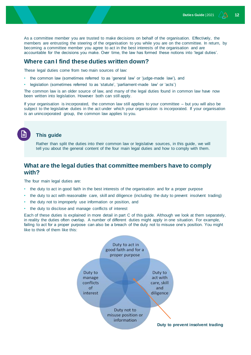As a committee member you are trusted to make decisions on behalf of the organisation. Effectively, the members are entrusting the steering of the organisation to you while you are on the committee. In return, by becoming a committee member you agree to act in the best interests of the organisation and are accountable for the decisions you make. Over time, the law has formed these notions into 'legal duties'.

#### <span id="page-11-0"></span>**Where can I find these duties written down?**

These legal duties come from two main sources of law:

- the common law (sometimes referred to as 'general law' or 'judge-made law'), and
- legislation (sometimes referred to as 'statute', 'parliament-made law' or 'acts')

The common law is an older source of law, and many of the legal duties found in common law have now been written into legislation. However both can still apply.

If your organisation is incorporated, the common law still applies to your committee – but you will also be subject to the legislative duties in the act under which your organisation is incorporated. If your organisation is an unincorporated group, the common law applies to you.

#### **This guide**

Rather than split the duties into their common law or legislative sources, in this guide, we will tell you about the general content of the four main legal duties and how to comply with them.

### <span id="page-11-1"></span>**What are the legal duties that committee members have to comply with?**

The four main legal duties are:

- the duty to act in good faith in the best interests of the organisation and for a proper purpose
- the duty to act with reasonable care, skill and diligence (including the duty to prevent insolvent trading)
- the duty not to improperly use information or position, and
- the duty to disclose and manage conflicts of interest

Each of these duties is explained in more detail in part C of this guide. Although we look at them separately, in reality the duties often overlap. A number of different duties might apply in one situation. For example, failing to act for a proper purpose can also be a breach of the duty not to misuse one's position. You might like to think of them like this:

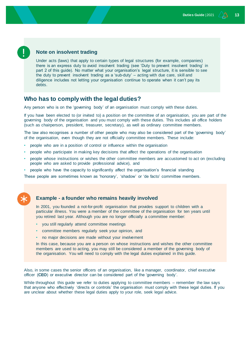#### **Note on insolvent trading**

Under acts (laws) that apply to certain types of legal structures (for example, companies) there is an express duty to avoid insolvent trading (see 'Duty to prevent insolvent trading' in part 2 of this guide). No matter what your organisation's legal structure, it is sensible to see the duty to prevent insolvent trading as a 'sub-duty' – acting with due care, skill and diligence includes not letting your organisation continue to operate when it can't pay its debts.

#### <span id="page-12-0"></span>**Who has to comply with the legal duties?**

Any person who is on the 'governing body' of an organisation must comply with these duties.

If you have been elected to (or invited to) a position on the committee of an organisation, you are part of the governing body of the organisation and you must comply with these duties. This includes all office holders (such as chairperson, president, treasurer, secretary), as well as ordinary committee members.

The law also recognises a number of other people who may also be considered part of the 'governing body' of the organisation, even though they are not officially committee members. These include:

- people who are in a position of control or influence within the organisation
- people who participate in making key decisions that affect the operations of the organisation
- people whose instructions or wishes the other committee members are accustomed to act on (excluding people who are asked to provide professional advice), and
- people who have the capacity to significantly affect the organisation's financial standing

These people are sometimes known as 'honorary', 'shadow' or 'de facto' committee members.



#### **Example - a founder who remains heavily involved**

In 2001, you founded a not-for-profit organisation that provides support to children with a particular illness. You were a member of the committee of the organisation for ten years until you retired last year. Although you are no longer officially a committee member:

- you still regularly attend committee meetings
- committee members regularly seek your opinion, and
- no major decisions are made without your involvement

In this case, because you are a person on whose instructions and wishes the other committee members are used to acting, you may still be considered a member of the governing body of the organisation. You will need to comply with the legal duties explained in this guide.

Also, in some cases the senior officers of an organisation, like a manager, coordinator, chief executive officer (**CEO**) or executive director can be considered part of the 'governing body'.

While throughout this guide we refer to duties applying to committee members – remember the law says that anyone who effectively 'directs or controls' the organisation must comply with these legal duties. If you are unclear about whether these legal duties apply to your role, seek legal advice.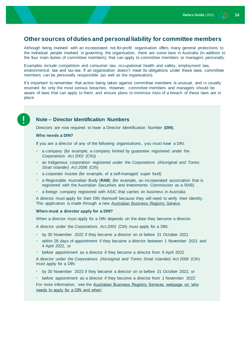#### <span id="page-13-0"></span>**Other sources of duties and personal liability for committee members**

Although being involved with an incorporated not-for-profit organisation offers many general protections to the individual people involved in governing the organisation, there are some laws in Australia (in addition to the four main duties of committee members) that can apply to committee members or managers personally.

Examples include competition and consumer law, occupational health and safety, employment law, environmental law and tax law. If an organisation doesn't meet its obligations under these laws, committee members can be personally responsible (as well as the organisation).

It's important to remember that action being taken against committee members is unusual, and is usually reserved for only the most serious breaches. However, committee members and managers should be aware of laws that can apply to them, and ensure plans to minimise risks of a breach of these laws are in place.

#### **Note – Director Identification Numbers**

Directors are now required to have a Director Identification Number (**DIN**).

#### **Who needs a DIN?**

If you are a director of any of the following organisations, you must have a DIN:

- a company (for example, a company limited by guarantee registered under the *Corporations Act 2001* (Cth))
- an Indigenous corporation registered under the *Corporations (Aboriginal and Torres Strait Islander) Act 2006* (Cth)
- a corporate trustee (for example, of a self-managed super fund)
- a Registrable Australian Body (**RAB**) (for example, an incorporated association that is registered with the Australian Securities and Investments Commission as a RAB)
- a foreign company registered with ASIC that carries on business in Australia

A director must apply for their DIN themself because they will need to verify their identity. This application is made through a new **Australian Business Registry Service**.

#### **When must a director apply for a DIN?**

When a director must apply for a DIN depends on the date they become a director.

A director under the *Corporations Act 2001* (Cth) must apply for a DIN:

- by 30 November 2022 if they became a director on or before 31 October 2021
- within 28 days of appointment if they became a director between 1 November 2021 and 4 April 2022, or
- before appointment as a director if they become a director from 5 April 2022

A director under the *Corporations (Aboriginal and Torres Strait Islander) Act 2006* (Cth) must apply for a DIN:

- by 30 November 2023 if they became a director on or before 31 October 2022, or
- before appointment as a director if they become a director from 1 November 2022

For more information, see the [Australian Business Registry Services webpage on 'who](https://www.abrs.gov.au/director-identification-number/who-needs-apply-and-when)  [needs to apply for a DIN and when'.](https://www.abrs.gov.au/director-identification-number/who-needs-apply-and-when)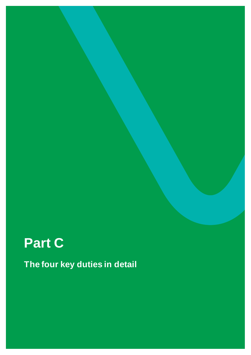# <span id="page-14-0"></span>**Part C**

**The four key duties in detail**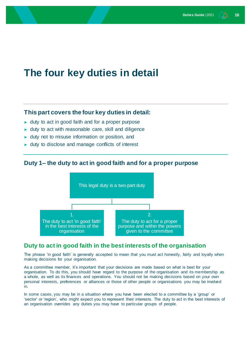## <span id="page-15-0"></span>**The four key duties in detail**

#### **This part covers the four key duties in detail:**

- ► duty to act in good faith and for a proper purpose
- ► duty to act with reasonable care, skill and diligence
- ► duty not to misuse information or position, and
- ► duty to disclose and manage conflicts of interest

#### <span id="page-15-1"></span>**Duty 1– the duty to act in good faith and for a proper purpose**



#### <span id="page-15-2"></span>**Duty to act in good faith in the best interests of the organisation**

The phrase 'in good faith' is generally accepted to mean that you must act honestly, fairly and loyally when making decisions for your organisation.

As a committee member, it's important that your decisions are made based on what is best for your organisation. To do this, you should have regard to the purpose of the organisation and its membership as a whole, as well as its finances and operations. You should not be making decisions based on your own personal interests, preferences or alliances or those of other people or organisations you may be involved in.

In some cases, you may be in a situation where you have been elected to a committee by a 'group' or 'sector' or 'region', who might expect you to represent their interests. The duty to act in the best interests of an organisation overrides any duties you may have to particular groups of people.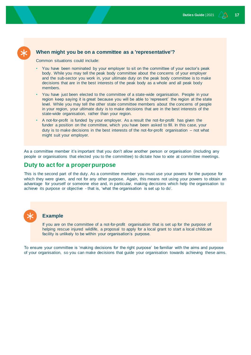#### **When might you be on a committee as a 'representative'?**

Common situations could include:

- You have been nominated by your employer to sit on the committee of your sector's peak body. While you may tell the peak body committee about the concerns of your employer and the sub-sector you work in, your ultimate duty on the peak body committee is to make decisions that are in the best interests of the peak body as a whole and all peak body members.
- You have just been elected to the committee of a state-wide organisation. People in your region keep saying it is great because you will be able to 'represent' the region at the state level. While you may tell the other state committee members about the concerns of people in your region, your ultimate duty is to make decisions that are in the best interests of the state-wide organisation, rather than your region.
- A not-for-profit is funded by your employer. As a result the not-for-profit has given the funder a position on the committee, which you have been asked to fill. In this case, your duty is to make decisions in the best interests of the not-for-profit organisation – not what might suit your employer.

As a committee member it's important that you don't allow another person or organisation (including any people or organisations that elected you to the committee) to dictate how to vote at committee meetings.

#### <span id="page-16-0"></span>**Duty to act for a proper purpose**

This is the second part of the duty. As a committee member you must use your powers for the purpose for which they were given, and not for any other purpose. Again, this means not using your powers to obtain an advantage for yourself or someone else and, in particular, making decisions which help the organisation to achieve its purpose or objective - that is, 'what the organisation is set up to do'.

#### **Example**

If you are on the committee of a not-for-profit organisation that is set up for the purpose of helping rescue injured wildlife, a proposal to apply for a local grant to start a local childcare facility is unlikely to be within your organisation's purpose.

To ensure your committee is 'making decisions for the right purpose' be familiar with the aims and purpose of your organisation, so you can make decisions that guide your organisation towards achieving these aims.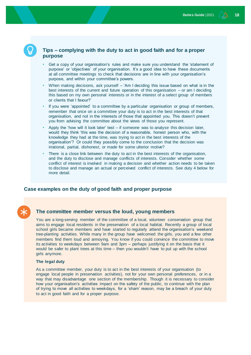#### **Tips – complying with the duty to act in good faith and for a proper purpose**

- Get a copy of your organisation's rules and make sure you understand the 'statement of purpose' or 'objectives' of your organisation. It's a good idea to have these documents at all committee meetings to check that decisions are in line with your organisation's purpose, and within your committee's powers.
- When making decisions, ask yourself 'Am I deciding this issue based on what is in the best interests of the current and future operation of this organisation – or am I deciding this based on my own personal interests or in the interest of a select group of members or clients that I favour?'
- If you were 'appointed' to a committee by a particular organisation or group of members, remember that once on a committee your duty is to act in the best interests of that organisation, and not in the interests of those that appointed you. This doesn't prevent you from advising the committee about the views of those you represent.
- Apply the 'how will it look later' test if someone was to analyse this decision later, would they think 'this was the decision of a reasonable, honest person who, with the knowledge they had at the time, was trying to act in the best interests of the organisation'? Or could they possibly come to the conclusion that the decision was irrational, partial, dishonest, or made for some ulterior motive?
- There is a close link between the duty to act in the best interests of the organisation, and the duty to disclose and manage conflicts of interests. Consider whether some conflict of interest is involved in making a decision and whether action needs to be taken to disclose and manage an actual or perceived conflict of interests. See duty 4 below for more detail.

#### **Case examples on the duty of good faith and proper purpose**

#### **The committee member versus the loud, young members**

You are a long-serving member of the committee of a local, volunteer conservation group that aims to engage local residents in the preservation of a local habitat. Recently a group of local school girls became members and have started to regularly attend the organisation's weekend tree-planting activities. While many in the group have welcomed the girls, you and a few other members find them loud and annoying. You know if you could convince the committee to move its activities to weekdays between 9am and 3pm – perhaps justifying it on the basis that it would be safer to plant trees at this time – then you wouldn't have to put up with the school girls anymore.

#### **The legal duty**

As a committee member, your duty is to act in the best interests of your organisation (to engage local people in preservation activities), not for your own personal preferences, or in a way that may disadvantage one section of the membership. Though it is necessary to consider how your organisation's activities impact on the safety of the public, to continue with the plan of trying to move all activities to weekdays, for a 'sham' reason, may be a breach of your duty to act in good faith and for a proper purpose.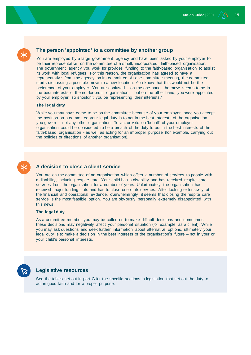#### **The person 'appointed' to a committee by another group**

You are employed by a large government agency and have been asked by your employer to be their representative on the committee of a small, incorporated, faith-based organisation. The government agency you work for provides funding to the faith-based organisation to assist its work with local refugees. For this reason, the organisation has agreed to have a representative from the agency on its committee. At one committee meeting, the committee starts discussing a possible move to a new location. You know that this would not be the preference of your employer. You are confused – on the one hand, the move seems to be in the best interests of the not-for-profit organisation – but on the other hand, you were appointed by your employer, so shouldn't you be representing their interests?

#### **The legal duty**

While you may have come to be on the committee because of your employer, once you accept the position on a committee your legal duty is to act in the best interests of the organisation you govern – not any other organisation. To act or vote on 'behalf' of your employer organisation could be considered to be a breach of the duty to act in the best interests of the faith-based organisation - as well as acting for an improper purpose (for example, carrying out the policies or directions of another organisation).

#### **A decision to close a client service**

You are on the committee of an organisation which offers a number of services to people with a disability, including respite care. Your child has a disability and has received respite care services from the organisation for a number of years. Unfortunately the organisation has received major funding cuts and has to close one of its services. After looking extensively at the financial and operational evidence, overwhelmingly it seems that closing the respite care service is the most feasible option. You are obviously personally extremely disappointed with this news.

#### **The legal duty**

As a committee member you may be called on to make difficult decisions and sometimes these decisions may negatively affect your personal situation (for example, as a client). While you may ask questions and seek further information about alternative options, ultimately your legal duty is to make a decision in the best interests of the organisation's future – not in your or your child's personal interests.

#### **Legislative resources**

See the tables set out in part G for the specific sections in legislation that set out the duty to act in good faith and for a proper purpose.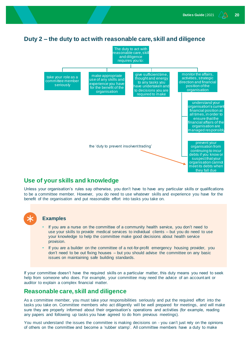### <span id="page-19-0"></span>**Duty 2 – the duty to act with reasonable care, skill and diligence**



#### <span id="page-19-1"></span>**Use of your skills and knowledge**

Unless your organisation's rules say otherwise, you don't have to have any particular skills or qualifications to be a committee member. However, you do need to use whatever skills and experience you have for the benefit of the organisation and put reasonable effort into tasks you take on.

## **Examples**

- If you are a nurse on the committee of a community health service, you don't need to use your skills to provide medical services to individual clients – but you do need to use your knowledge to help the committee make good decisions about health service provision.
- If you are a builder on the committee of a not-for-profit emergency housing provider, you don't need to be out fixing houses – but you should advise the committee on any basic issues on maintaining safe building standards.

If your committee doesn't have the required skills on a particular matter, this duty means you need to seek help from someone who does. For example, your committee may need the advice of an accountant or auditor to explain a complex financial matter.

### <span id="page-19-2"></span>**Reasonable care, skill and diligence**

As a committee member, you must take your responsibilities seriously and put the required effort into the tasks you take on. Committee members who act diligently will be well prepared for meetings, and will make sure they are properly informed about their organisation's operations and activities (for example, reading any papers and following up tasks you have agreed to do from previous meetings).

You must understand the issues the committee is making decisions on - you can't just rely on the opinions of others on the committee and become a 'rubber stamp'. All committee members have a duty to make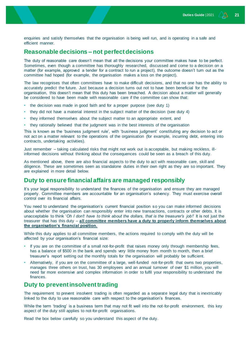enquiries and satisfy themselves that the organisation is being well run, and is operating in a safe and efficient manner.

#### <span id="page-20-0"></span>**Reasonable decisions – not perfect decisions**

The duty of reasonable care doesn't mean that all the decisions your committee makes have to be perfect. Sometimes, even though a committee has thoroughly researched, discussed and come to a decision on a matter (for example, approved a tender for a contract to run a project), the outcome doesn't turn out as the committee had hoped (for example, the organisation makes a loss on the project).

The law recognises that often committees have to make difficult decisions, and that no one has the ability to accurately predict the future. Just because a decision turns out not to have been beneficial for the organisation, this doesn't mean that this duty has been breached. A decision about a matter will generally be considered to have been made with reasonable care if the committee can show that:

- the decision was made in good faith and for a proper purpose (see duty 1)
- they did not have a material interest in the subject matter of the decision (see duty 4)
- they informed themselves about the subject matter to an appropriate extent, and
- they rationally believed that the judgment was in the best interests of the organisation

This is known as the 'business judgment rule', with 'business judgment' constituting any decision to act or not act on a matter relevant to the operations of the organisation (for example, incurring debt, entering into contracts, undertaking activities).

Just remember – taking calculated risks that might not work out is acceptable, but making reckless, illinformed decisions without thinking about the consequences could be seen as a breach of this duty.

As mentioned above, there are also financial aspects to the duty to act with reasonable care, skill and diligence. These are sometimes seen as standalone duties in their own right as they are so important. They are explained in more detail below.

#### <span id="page-20-1"></span>**Duty to ensure financial affairs are managed responsibly**

It's your legal responsibility to understand the finances of the organisation and ensure they are managed properly. Committee members are accountable for an organisation's solvency. They must exercise overall control over its financial affairs.

You need to understand the organisation's current financial position so you can make informed decisions about whether the organisation can responsibly enter into new transactions, contracts or other debts. It is unacceptable to think '*Oh I don't have to think about the dollars, that is the treasurer's job*!' It is not just the treasurer that has this duty – **all committee members have a duty to properly inform themselves about the organisation's financial position.**

While this duty applies to all committee members, the actions required to comply with the duty will be affected by your organisation's financial size:

- If you are on the committee of a small not-for-profit that raises money only through membership fees, has a balance of \$500 in the bank and spends very little money from month to month, then a brief treasurer's report setting out the monthly totals for the organisation will probably be sufficient.
- Alternatively, if you are on the committee of a large, well-funded not-for-profit that owns two properties, manages three others on trust, has 30 employees and an annual turnover of over \$1 million, you will need far more extensive and complex information in order to fulfil your responsibility to understand the finances.

#### <span id="page-20-2"></span>**Duty to prevent insolvent trading**

The requirement to prevent insolvent trading is often regarded as a separate legal duty that is inextricably linked to the duty to use reasonable care with respect to the organisation's finances.

While the term 'trading' is a business term that may not fit well into the not-for-profit environment, this key aspect of the duty still applies to not-for-profit organisations.

Read the box below carefully so you understand this aspect of the duty.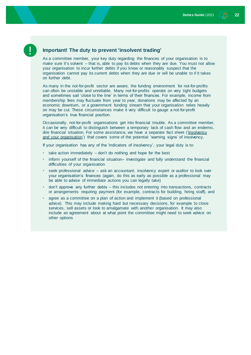#### **Important! The duty to prevent 'insolvent trading'**

As a committee member, your key duty regarding the finances of your organisation is to make sure it's solvent – that is, able to pay its debts when they are due. You must not allow your organisation to incur further debts if you know or reasonably suspect that the organisation cannot pay its current debts when they are due or will be unable to if it takes on further debt.

As many in the not-for-profit sector are aware, the funding environment for not-for-profits can often be unstable and unreliable. Many not-for-profits operate on very tight budgets and sometimes sail 'close to the line' in terms of their finances. For example, income from membership fees may fluctuate from year to year, donations may be affected by an economic downturn, or a government funding stream that your organisation relies heavily on may be cut. These circumstances make it very difficult to gauge a not-for-profit organisation's true financial position.

Occasionally, not-for-profit organisations get into financial trouble. As a committee member, it can be very difficult to distinguish between a temporary lack of cash flow and an endemic, dire financial situation. For some assistance, we have a separate fact sheet [\('Insolvency](https://www.nfplaw.org.au/governance)  [and your organisation'\)](https://www.nfplaw.org.au/governance) that covers some of the potential 'warning signs' of insolvency.

If your organisation has any of the 'indicators of insolvency', your legal duty is to:

- take action immediately don't do nothing and hope for the best
- inform yourself of the financial situation– investigate and fully understand the financial difficulties of your organisation
- seek professional advice ask an accountant, insolvency expert or auditor to look over your organisation's finances (again, do this as early as possible as a professional may be able to advise of immediate actions you can legally take)
- don't approve any further debts this includes not entering into transactions, contracts or arrangements requiring payment (for example, contracts for building, hiring staff), and
- agree as a committee on a plan of action and implement it (based on professional advice). This may include making hard but necessary decisions, for example to close services, sell assets or look to amalgamate with another organisation. It may also include an agreement about at what point the committee might need to seek advice on other options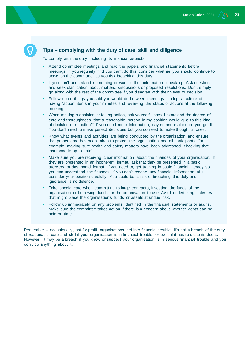#### **Tips – complying with the duty of care, skill and diligence**

To comply with the duty, including its financial aspects:

- Attend committee meetings and read the papers and financial statements before meetings. If you regularly find you can't do this, consider whether you should continue to serve on the committee, as you risk breaching this duty.
- If you don't understand something or want further information, speak up. Ask questions and seek clarification about matters, discussions or proposed resolutions. Don't simply go along with the rest of the committee if you disagree with their views or decision.
- Follow up on things you said you would do between meetings adopt a culture of having 'action' items in your minutes and reviewing the status of actions at the following meeting.
- When making a decision or taking action, ask yourself, 'have I exercised the degree of care and thoroughness that a reasonable person in my position would give to this kind of decision or situation?' If you need more information, say so and make sure you get it. You don't need to make perfect decisions but you do need to make thoughtful ones.
- Know what events and activities are being conducted by the organisation and ensure that proper care has been taken to protect the organisation and all participants (for example, making sure health and safety matters have been addressed, checking that insurance is up to date).
- Make sure you are receiving clear information about the finances of your organisation. If they are presented in an incoherent format, ask that they be presented in a basic overview or dashboard format. If you need to, get training in basic financial literacy so you can understand the finances. If you don't receive any financial information at all, consider your position carefully. You could be at risk of breaching this duty and ignorance is no defence.
- Take special care when committing to large contracts, investing the funds of the organisation or borrowing funds for the organisation to use. Avoid undertaking activities that might place the organisation's funds or assets at undue risk.
- Follow up immediately on any problems identified in the financial statements or audits. Make sure the committee takes action if there is a concern about whether debts can be paid on time.

Remember – occasionally, not-for-profit organisations get into financial trouble. It's not a breach of the duty of reasonable care and skill if your organisation is in financial trouble, or even if it has to close its doors. However, it may be a breach if you know or suspect your organisation is in serious financial trouble and you don't do anything about it.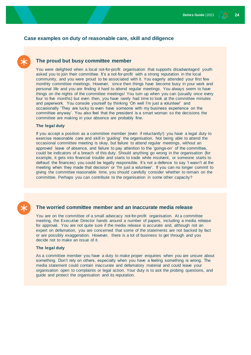#### **Case examples on duty of reasonable care, skill and diligence**

#### **The proud but busy committee member**

You were delighted when a local not-for-profit organisation that supports disadvantaged youth asked you to join their committee. It's a not-for-profit with a strong reputation in the local community, and you were proud to be associated with it. You eagerly attended your first few monthly committee meetings. However, since then things have become busy in your work and personal life and you are finding it hard to attend regular meetings. You always seem to have things on the nights of the committee meetings! You turn up when you can (usually once every four to five months) but even then, you have rarely had time to look at the committee minutes and paperwork. You console yourself by thinking 'Oh well I'm just a volunteer' and occasionally 'They are lucky to even have someone with my business experience on the committee anyway'. You also feel that the president is a smart woman so the decisions the committee are making in your absence are probably fine.

#### **The legal duty**

If you accept a position as a committee member (even if reluctantly!) you have a legal duty to exercise reasonable care and skill in 'guiding' the organisation. Not being able to attend the occasional committee meeting is okay, but failure to attend regular meetings, without an approved leave of absence, and failure to pay attention to the 'goings-on' of the committee, could be indicators of a breach of this duty. Should anything go wrong in the organisation (for example, it gets into financial trouble and starts to trade while insolvent, or someone starts to defraud the finances) you could be legally responsible. It's not a defence to say 'I wasn't at the meeting when they made that decision' or 'I'm just a volunteer'. If you can no longer commit to giving the committee reasonable time, you should carefully consider whether to remain on the committee. Perhaps you can contribute to the organisation in some other capacity?



#### **The worried committee member and an inaccurate media release**

You are on the committee of a small advocacy not-for-profit organisation. At a committee meeting, the Executive Director hands around a number of papers, including a media release for approval. You are not quite sure if the media release is accurate and, although not an expert on defamation, you are concerned that some of the statements are not backed by fact or are possibly exaggeration. However, there is a lot of business to get through and you decide not to make an issue of it.

#### **The legal duty**

As a committee member you have a duty to make proper enquiries when you are unsure about something. Don't rely on others, especially when you have a feeling something is wrong. The media statement could contain inaccurate and defamatory material and could leave your organisation open to complaints or legal action. Your duty is to ask the probing questions, and guide and protect the organisation and its reputation.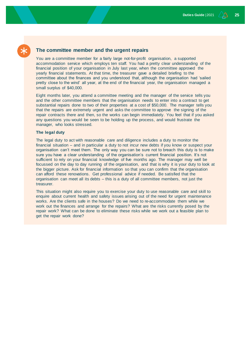#### **The committee member and the urgent repairs**

You are a committee member for a fairly large not-for-profit organisation, a supported accommodation service which employs ten staff. You had a pretty clear understanding of the financial position of your organisation in July last year, when the committee approved the yearly financial statements. At that time, the treasurer gave a detailed briefing to the committee about the finances and you understood that, although the organisation had 'sailed pretty close to the wind' all year, at the end of the financial year, the organisation managed a small surplus of \$40,000.

Eight months later, you attend a committee meeting and the manager of the service tells you and the other committee members that the organisation needs to enter into a contract to get substantial repairs done to two of their properties at a cost of \$50,000. The manager tells you that the repairs are extremely urgent and asks the committee to approve the signing of the repair contracts there and then, so the works can begin immediately. You feel that if you asked any questions you would be seen to be holding up the process, and would frustrate the manager, who looks stressed.

#### **The legal duty**

The legal duty to act with reasonable care and diligence includes a duty to monitor the financial situation – and in particular a duty to not incur new debts if you know or suspect your organisation can't meet them. The only way you can be sure not to breach this duty is to make sure you have a clear understanding of the organisation's current financial position. It's not sufficient to rely on your financial knowledge of five months ago. The manager may well be focussed on the day to day running of the organisation, and that is why it is your duty to look at the bigger picture. Ask for financial information so that you can confirm that the organisation can afford these renovations. Get professional advice if needed. Be satisfied that the organisation can meet all its debts – this is a duty of all committee members, not just the treasurer.

This situation might also require you to exercise your duty to use reasonable care and skill to enquire about current health and safety issues arising out of the need for urgent maintenance works. Are the clients safe in the houses? Do we need to re-accommodate them while we work out the finances and arrange for the repairs? What are the risks currently posed by the repair work? What can be done to eliminate these risks while we work out a feasible plan to get the repair work done?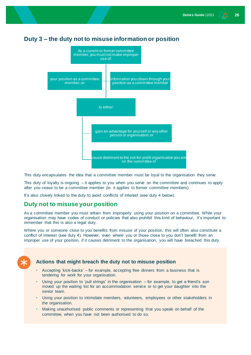### <span id="page-25-0"></span>**Duty 3 – the duty not to misuse information or position**



This duty encapsulates the idea that a committee member must be loyal to the organisation they serve.

This duty of loyalty is ongoing – it applies to you when you serve on the committee and continues to apply after you cease to be a committee member (ie. it applies to former committee members).

It's also closely linked to the duty to avoid conflicts of interest (see duty 4 below).

#### <span id="page-25-1"></span>**Duty not to misuse your position**

As a committee member you must refrain from improperly using your position on a committee. While your organisation may have codes of conduct or policies that also prohibit this kind of behaviour, it's important to remember that this is also a legal duty.

Where you or someone close to you benefits from misuse of your position, this will often also constitute a conflict of interest (see duty 4). However, even where you or those close to you don't benefit from an improper use of your position, if it causes detriment to the organisation, you will have breached this duty.



#### **Actions that might breach the duty not to misuse position**

- Accepting 'kick-backs' for example, accepting free dinners from a business that is tendering for work for your organisation.
- Using your position to 'pull strings' in the organisation  $-$  for example, to get a friend's son moved up the waiting list for an accommodation service or to get your daughter into the senior team.
- Using your position to intimidate members, volunteers, employees or other stakeholders in the organisation.
- Making unauthorised public comments or representing that you speak on behalf of the committee, when you have not been authorised to do so.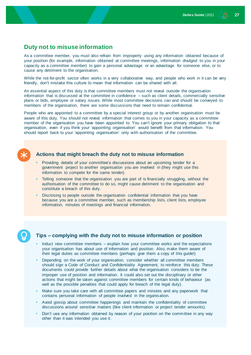#### <span id="page-26-0"></span>**Duty not to misuse information**

As a committee member, you must also refrain from improperly using any information obtained because of your position (for example, information obtained at committee meetings, information divulged to you in your capacity as a committee member) to gain a personal advantage or an advantage for someone else, or to cause any detriment to the organisation.

While the not-for-profit sector often works in a very collaborative way, and people who work in it can be very friendly, don't mistake this culture to mean that information can be shared with all.

An essential aspect of this duty is that committee members must not reveal outside the organisation information that is discussed at the committee in confidence – such as client details, commercially sensitive plans or bids, employee or salary issues. While most committee decisions can and should be conveyed to members of the organisation, there are some discussions that need to remain confidential.

People who are appointed to a committee by a special interest group or by another organisation must be aware of this duty. You should not reveal information that comes to you in your capacity as a committee member of the organisation you have been appointed to. You can't ignore your primary obligation to that organisation, even if you think your 'appointing organisation' would benefit from that information. You should report back to your 'appointing organisation' only with authorisation of the committee.



#### **Actions that might breach the duty not to misuse information**

- Providing details of your committee's discussions about an upcoming tender for a government project to another organisation you are involved in (they might use this information to compete for the same tender).
- Telling someone that the organisation you are part of is financially struggling, without the authorisation of the committee to do so, might cause detriment to the organisation and constitute a breach of this duty.
- Disclosing to people outside the organisation confidential information that you have because you are a committee member, such as membership lists, client lists, employee information, minutes of meetings and financial information.



#### **Tips – complying with the duty not to misuse information or position**

- Induct new committee members explain how your committee works and the expectations your organisation has about use of information and position. Also, make them aware of their legal duties as committee members (perhaps give them a copy of this guide!)
- Depending on the work of your organisation, consider whether all committee members should sign a Code of Conduct and Confidentiality Agreement, to reinforce this duty. These documents could provide further details about what the organisation considers to be the improper use of position and information. It could also set out the disciplinary or other actions that might be taken against committee members for certain kinds of behaviour (as well as the possible penalties that could apply for breach of the legal duty).
- Make sure you take care with all committee papers and minutes and any paperwork that contains personal information of people involved in the organisation.
- Avoid gossip about committee happenings and maintain the confidentiality of committee discussions around sensitive matters (like client information or project tender amounts).
- Don't use any information obtained by reason of your position on the committee in any way other than it was intended you use it.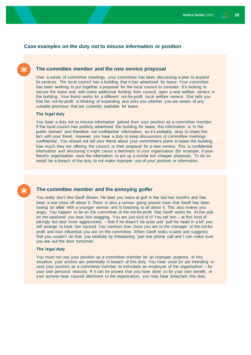#### **Case examples on the duty not to misuse information or position**

#### **The committee member and the new service proposal**

Over a series of committee meetings, your committee has been discussing a plan to expand its services. The local council has a building that it has advertised for lease. Your committee has been working to put together a proposal for the local council to consider. It's looking to secure the lease and, with some additional funding from council, open a new welfare service in the building. Your friend works for a different not-for-profit local welfare service. She tells you that her not-for-profit is thinking of expanding and asks you whether you are aware of any suitable premises that are currently available for lease.

#### **The legal duty**

You have a duty not to misuse information gained from your position as a committee member. If the local council has publicly advertised the building for lease, this information is 'in the public domain' and therefore not confidential information, so it's probably okay to share this fact with your friend. However you have a duty to keep discussions of committee meetings confidential. You should not tell your friend about your committee's plans to lease the building, how much they are offering the council, or their proposal for a new service. This is confidential information and disclosing it might cause a detriment to your organisation (for example, if your friend's organisation uses the information to put up a similar but cheaper proposal). To do so would be a breach of the duty to not make improper use of your position or information.

#### **The committee member and the annoying golfer**

You really don't like Geoff Brown. He beat you twice at golf in the last two months and has been a real show off about it. There is also a rumour going around town that Geoff has been having an affair with a younger woman and is boasting to all about it. This also makes you angry. You happen to be on the committee of the not-for-profit that Geoff works for. At the pub on the weekend you hear him bragging. You are just sick of it! You tell him – at first kind of jokingly but later more aggressively – that if he doesn't be quiet and 'pull his head in a bit' you will arrange to have him sacked. You mention how close you are to the manager of the not-forprofit and how influential you are on the committee. When Geoff looks scared and suggests that you couldn't do that, you retaliate by threatening 'just one phone call and I can make sure you are out the door tomorrow'.

#### **The legal duty**

You must not use your position as a committee member for an improper purpose. In this situation, your actions are potentially in breach of this duty. You have used (or are intending to use) your position as a committee member to intimidate an employee of the organisation – for your own personal reasons. If it can be proved that you have done so for your own benefit, or your actions have caused detriment to the organisation, you may have breached this duty.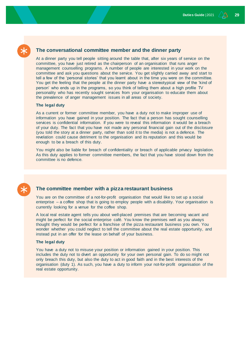#### **The conversational committee member and the dinner party**

At a dinner party you tell people sitting around the table that, after six years of service on the committee, you have just retired as the chairperson of an organisation that runs anger management counselling programs. A number of people are interested in your work on the committee and ask you questions about the service. You get slightly carried away and start to tell a few of the 'personal stories' that you learnt about in the time you were on the committee. You get the feeling that the people at the dinner party have a stereotypical view of the 'kind of person' who ends up in the programs, so you think of telling them about a high profile TV personality who has recently sought services from your organisation to educate them about the prevalence of anger management issues in all areas of society.

#### **The legal duty**

As a current or former committee member, you have a duty not to make improper use of information you have gained in your position. The fact that a person has sought counselling services is confidential information. If you were to reveal this information it would be a breach of your duty. The fact that you have not made any personal financial gain out of the disclosure (you told the story at a dinner party, rather than sold it to the media) is not a defence. The revelation could cause detriment to the organisation and its reputation and this would be enough to be a breach of this duty.

You might also be liable for breach of confidentiality or breach of applicable privacy legislation. As this duty applies to former committee members, the fact that you have stood down from the committee is no defence.



#### **The committee member with a pizza restaurant business**

You are on the committee of a not-for-profit organisation that would like to set up a social enterprise – a coffee shop that is going to employ people with a disability. Your organisation is currently looking for a venue for the coffee shop.

A local real estate agent tells you about well-placed premises that are becoming vacant and might be perfect for the social enterprise café. You know the premises well as you always thought they would be perfect for a franchise of the pizza restaurant business you own. You wonder whether you could neglect to tell the committee about the real estate opportunity, and instead put in an offer for the lease on behalf of your business.

#### **The legal duty**

You have a duty not to misuse your position or information gained in your position. This includes the duty not to divert an opportunity for your own personal gain. To do so might not only breach this duty, but also the duty to act in good faith and in the best interests of the organisation (duty 1). As such, you have a duty to inform your not-for-profit organisation of the real estate opportunity.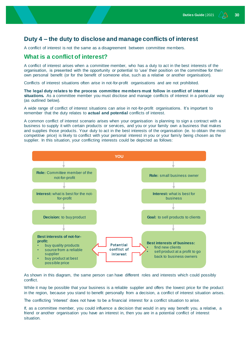#### <span id="page-29-0"></span>**Duty 4 – the duty to disclose and manage conflicts of interest**

A conflict of interest is not the same as a disagreement between committee members.

#### <span id="page-29-1"></span>**What is a conflict of interest?**

A conflict of interest arises when a committee member, who has a duty to act in the best interests of the organisation, is presented with the opportunity or potential to 'use' their position on the committee for their own personal benefit (or for the benefit of someone else, such as a relative or another organisation).

Conflicts of interest situations often arise in not-for-profit organisations and are not prohibited.

**The legal duty relates to the process committee members must follow in conflict of interest situations.** As a committee member you must disclose and manage conflicts of interest in a particular way (as outlined below).

A wide range of conflict of interest situations can arise in not-for-profit organisations. It's important to remember that the duty relates to **actual and potential** conflicts of interest.

A common conflict of interest scenario arises when your organisation is planning to sign a contract with a business to supply it with certain products or services, and you or your family own a business that makes and supplies those products. Your duty to act in the best interests of the organisation (ie. to obtain the most competitive price) is likely to conflict with your personal interest in you or your family being chosen as the supplier. In this situation, your conflicting interests could be depicted as follows:



As shown in this diagram, the same person can have different roles and interests which could possibly conflict.

While it may be possible that your business is a reliable supplier and offers the lowest price for the product in the region, because you stand to benefit personally from a decision, a conflict of interest situation arises.

The conflicting 'interest' does not have to be a financial interest for a conflict situation to arise.

If, as a committee member, you could influence a decision that would in any way benefit you, a relative, a friend or another organisation you have an interest in, then you are in a potential conflict of interest situation.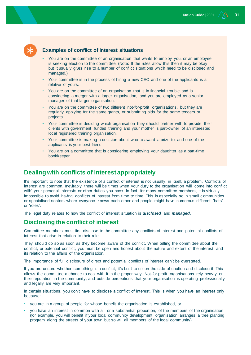#### **Examples of conflict of interest situations**

- You are on the committee of an organisation that wants to employ you, or an employee is seeking election to the committee. (Note: If the rules allow this then it may be okay, but it usually gives rise to a number of conflict situations which need to be disclosed and managed.)
- Your committee is in the process of hiring a new CEO and one of the applicants is a relative of yours.
- You are on the committee of an organisation that is in financial trouble and is considering a merger with a larger organisation, and you are employed as a senior manager of that larger organisation.
- You are on the committee of two different not-for-profit organisations, but they are regularly applying for the same grants, or submitting bids for the same tenders or projects.
- Your committee is deciding which organisation they should partner with to provide their clients with government funded training and your mother is part-owner of an interested local registered training organisation.
- Your committee is making a decision about who to award a prize to, and one of the applicants is your best friend.
- You are on a committee that is considering employing your daughter as a part-time bookkeeper.

#### <span id="page-30-0"></span>**Dealing with conflicts of interest appropriately**

It's important to note that the existence of a conflict of interest is not usually, in itself, a problem. Conflicts of interest are common. Inevitably there will be times when your duty to the organisation will 'come into conflict with' your personal interests or other duties you have. In fact, for many committee members, it is virtually impossible to avoid having conflicts of interest from time to time. This is especially so in small c ommunities or specialised sectors where everyone knows each other and people might have numerous different 'hats' or 'roles'.

The legal duty relates to how the conflict of interest situation is *disclosed* and *managed*.

#### <span id="page-30-1"></span>**Disclosing the conflict of interest**

Committee members must first disclose to the committee any conflicts of interest and potential conflicts of interest that arise in relation to their role.

They should do so as soon as they become aware of the conflict. When telling the committee about the conflict, or potential conflict, you must be open and honest about the nature and extent of the interest, and its relation to the affairs of the organisation.

The importance of full disclosure of direct and potential conflicts of interest can't be overstated.

If you are unsure whether something is a conflict, it's best to err on the side of caution and disclose it. This allows the committee a chance to deal with it in the proper way. Not-for-profit organisations rely heavily on their reputation in the community, and outside perceptions that your organisation is operating professionally and legally are very important.

In certain situations, you don't have to disclose a conflict of interest. This is when you have an interest only because:

- you are in a group of people for whose benefit the organisation is established, or
- you have an interest in common with all, or a substantial proportion, of the members of the organisation (for example, you will benefit if your local community development organisation arranges a tree planting program along the streets of your town but so will all members of the local community)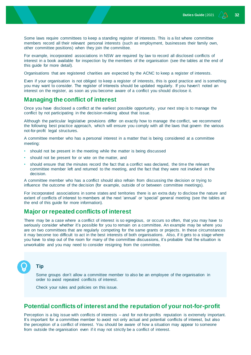Some laws require committees to keep a standing register of interests. This is a list where committee members record all their relevant personal interests (such as employment, businesses their family own, other committee positions) when they join the committee.

For example, incorporated associations in NSW are required by law to record all disclosed conflicts of interest in a book available for inspection by the members of the organisation (see the tables at the end of this guide for more detail).

Organisations that are registered charities are expected by the ACNC to keep a register of interests.

Even if your organisation is not obliged to keep a register of interests, this is good practice and is something you may want to consider. The register of interests should be updated regularly. If you haven't noted an interest on the register, as soon as you become aware of a conflict you should disclose it.

#### <span id="page-31-0"></span>**Managing the conflict of interest**

Once you have disclosed a conflict at the earliest possible opportunity, your next step is to manage the conflict by not participating in the decision-making about that issue.

Although the particular legislative provisions differ on exactly how to manage the conflict, we recommend the following best practice approach, which will ensure you comply with all the laws that govern the various not-for-profit legal structures.

A committee member who has a personal interest in a matter that is being considered at a committee meeting:

- should not be present in the meeting while the matter is being discussed
- should not be present for or vote on the matter, and
- should ensure that the minutes record the fact that a conflict was declared, the time the relevant committee member left and returned to the meeting, and the fact that they were not involved in the decision.

A committee member who has a conflict should also refrain from discussing the decision or trying to influence the outcome of the decision (for example, outside of or between committee meetings).

For incorporated associations in some states and territories there is an extra duty to disclose the nature and extent of conflicts of interest to members at the next 'annual' or 'special' general meeting (see the tables at the end of this guide for more information).

#### <span id="page-31-1"></span>**Major or repeated conflicts of interest**

There may be a case where a conflict of interest is so egregious, or occurs so often, that you may have to seriously consider whether it's possible for you to remain on a committee. An example may be where you are on two committees that are regularly competing for the same grants or projects. In these circumstances it may become too difficult to act in the best interests of both organisations. Also, if it gets to a stage where you have to step out of the room for many of the committee discussions, it's probable that the situation is unworkable and you may need to consider resigning from the committee.

#### **Tip**

Some groups don't allow a committee member to also be an employee of the organisation in order to avoid repeated conflicts of interest.

Check your rules and policies on this issue.

#### <span id="page-31-2"></span>**Potential conflicts of interest and the reputation of your not-for-profit**

Perception is a big issue with conflicts of interests – and for not-for-profits reputation is extremely important. It's important for a committee member to avoid not only actual and potential conflicts of interest, but also the perception of a conflict of interest. You should be aware of how a situation may appear to someone from outside the organisation even if it may not strictly be a conflict of interest.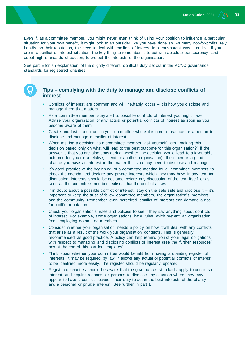Even if, as a committee member, you might never even think of using your position to influence a particular situation for your own benefit, it might look to an outsider like you have done so. As many not-for-profits rely heavily on their reputation, the need to deal with conflicts of interest in a transparent way is critic al. If you are in a conflict of interest situation, the key thing to remember is to act with absolute transparency, and adopt high standards of caution, to protect the interests of the organisation.

See part E for an explanation of the slightly different conflicts duty set out in the ACNC governance standards for registered charities.

#### **Tips – complying with the duty to manage and disclose conflicts of interest**

- Conflicts of interest are common and will inevitably occur it is how you disclose and manage them that matters.
- As a committee member, stay alert to possible conflicts of interest you might have. Advise your organisation of any actual or potential conflicts of interest as soon as you become aware of them.
- Create and foster a culture in your committee where it is normal practice for a person to disclose and manage a conflict of interest.
- When making a decision as a committee member, ask yourself, 'am I making this decision based only on what will lead to the best outcome for this organisation?' If the answer is that you are also considering whether the decision would lead to a favourable outcome for you (or a relative, friend or another organisation), then there is a good chance you have an interest in the matter that you may need to disclose and manage.
- It's good practice at the beginning of a committee meeting for all committee members to check the agenda and declare any private interests which they may have in any item for discussion. Interests should be declared before any discussion of the item itself, or as soon as the committee member realises that the conflict arises.
- If in doubt about a possible conflict of interest, stay on the safe side and disclose it it's important to keep the trust of fellow committee members, the organisation's members and the community. Remember even perceived conflict of interests can damage a notfor-profit's reputation.
- Check your organisation's rules and policies to see if they say anything about conflicts of interest. For example, some organisations have rules which prevent an organisation from employing committee members.
- Consider whether your organisation needs a policy on how it will deal with any conflicts that arise as a result of the work your organisation conducts. This is generally recommended as good practice. A policy can help remind you of your legal obligations with respect to managing and disclosing conflicts of interest (see the 'further resources' box at the end of this part for templates).
- Think about whether your committee would benefit from having a standing register of interests. It may be required by law. It allows any actual or potential conflicts of interest to be identified more easily. The register should be regularly updated.
- Registered charities should be aware that the governance standards apply to conflicts of interest, and require responsible persons to disclose any situation where they may appear to have a conflict between their duty to act in the best interests of the charity, and a personal or private interest. See further in part E.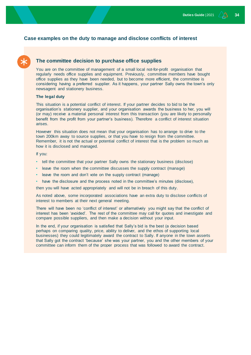#### **Case examples on the duty to manage and disclose conflicts of interest**

#### **The committee decision to purchase office supplies**

You are on the committee of management of a small local not-for-profit organisation that regularly needs office supplies and equipment. Previously, committee members have bought office supplies as they have been needed, but to become more efficient, the committee is considering having a preferred supplier. As it happens, your partner Sally owns the town's only newsagent and stationery business.

#### **The legal duty**

This situation is a potential conflict of interest. If your partner decides to bid to be the organisation's stationery supplier, and your organisation awards the business to her, you will (or may) receive a material personal interest from this transaction (you are likely to personally benefit from the profit from your partner's business). Therefore a conflict of interest situation arises.

However this situation does not mean that your organisation has to arrange to drive to the town 200km away to source supplies, or that you have to resign from the committee. Remember, it is not the actual or potential conflict of interest that is the problem so much as how it is disclosed and managed.

If you:

- tell the committee that your partner Sally owns the stationary business (disclose)
- leave the room when the committee discusses the supply contract (manage)
- leave the room and don't vote on the supply contract (manage)
- have the disclosure and the process noted in the committee's minutes (disclose),

then you will have acted appropriately and will not be in breach of this duty.

As noted above, some incorporated associations have an extra duty to disclose conflicts of interest to members at their next general meeting.

There will have been no 'conflict of interest' or alternatively you might say that the conflict of interest has been 'avoided'. The rest of the committee may call for quotes and investigate and compare possible suppliers, and then make a decision without your input.

In the end, if your organisation is satisfied that Sally's bid is the best (a decision based perhaps on comparing quality, price, ability to deliver, and the ethos of supporting local businesses) they could legitimately award the contract to Sally. If anyone in the town asserts that Sally got the contract 'because' she was your partner, you and the other members of your committee can inform them of the proper process that was followed to award the contract.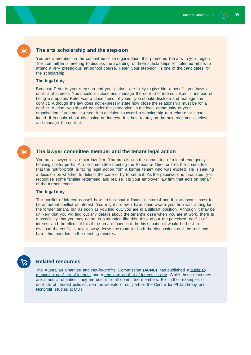#### **The arts scholarship and the step-son**

You are a member on the committee of an organisation that promotes the arts in your region. The committee is meeting to discuss the awarding of three scholarships for talented artists to attend a very prestigious art school course. Peter, your step-son, is one of the candidates for the scholarship.

#### **The legal duty**

Because Peter is your step-son and your actions are likely to give him a benefit, you have a conflict of interest. You should disclose and manage the conflict of interest. Even if, instead of being a step-son, Peter was a close friend of yours, you should disclose and manage the conflict. Although the law does not expressly state how close the relationship must be for a conflict to arise, you should consider the perception in the local community of your organisation if you are involved in a decision to award a scholarship to a relative or close friend. If in doubt about disclosing an interest, it is best to stay on the safe side and disclose and manage the conflict.

#### **The lawyer committee member and the tenant legal action**

You are a lawyer for a major law firm. You are also on the committee of a local emergency housing not-for-profit. At one committee meeting the Executive Director tells the committee that the not-for-profit is facing legal action from a former tenant who was evicted. He is seeking a decision on whether to defend the case or try to settle it. As the paperwork is circulated, you recognise some familiar letterhead and realise it is your employer law firm that acts on behalf of the former tenant.

#### **The legal duty**

The conflict of interest doesn't have to be about a financial interest and it also doesn't have to be an actual conflict of interest. You might not even have been aware your firm was acting for the former tenant, but as soon as you find out, you are in a difficult position. Although it may be unlikely that you will find out any details about the tenant's case when you are at work, there is a possibility that you may do so. In a situation like this, think about the perceived conflict of interest and the effect of this if the tenant found out. In this situation it would be best to disclose the conflict straight away, leave the room for both the discussions and the vote and have this recorded in the meeting minutes.

#### **Related resources**

The Australian Charities and Not-for-profits Commission (**ACNC**) has published [a guide to](https://www.acnc.gov.au/tools/guides/managing-conflicts-interest-guide)  [managing conflicts of interest](https://www.acnc.gov.au/tools/guides/managing-conflicts-interest-guide) and a [template conflict of interest policy.](https://www.acnc.gov.au/tools/templates/conflict-interest-policy) While these resources are aimed at charities, they are useful for all committee members. For further examples of conflicts of interest policies, see the website of our partner the [Centre for Philanthropy and](https://wiki.qut.edu.au/display/CPNS/Conflict+of+interest+policy+-+examples)  [Nonprofit studies at QUT.](https://wiki.qut.edu.au/display/CPNS/Conflict+of+interest+policy+-+examples)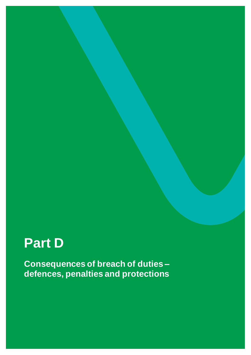# <span id="page-35-0"></span>**Part D**

**Consequences of breach of duties – defences, penalties and protections**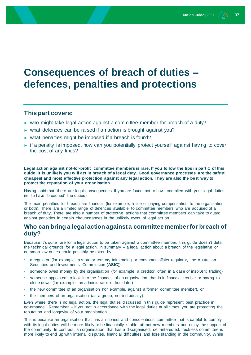## <span id="page-36-0"></span>**Consequences of breach of duties – defences, penalties and protections**

#### **This part covers:**

- ► who might take legal action against a committee member for breach of a duty?
- ► what defences can be raised if an action is brought against you?
- ► what penalties might be imposed if a breach is found?
- ► if a penalty is imposed, how can you potentially protect yourself against having to cover the cost of any fines?

**Legal action against not-for-profit committee members is rare. If you follow the tips in part C of this guide, it is unlikely you will act in breach of a legal duty. Good governance processes are the safest, cheapest and most effective protection against any legal action. They are also the best way to protect the reputation of your organisation.**

Having said that, there are legal consequences if you are found not to have complied with your legal duties (ie. to have 'breached' the duties).

The main penalties for breach are financial (for example, a fine or paying compensation to the organisation, or both). There are a limited range of defences available to committee members who are accused of a breach of duty. There are also a number of protective actions that committee members can take to guard against penalties in certain circumstances in the unlikely event of legal action.

#### <span id="page-36-1"></span>**Who can bring a legal action against a committee member for breach of duty?**

Because it's quite rare for a legal action to be taken against a committee member, this guide doesn't detail the technical grounds for a legal action. In summary – a legal action about a breach of the legislative or common law duties could possibly be taken by:

- a regulator (for example, a state or territory fair trading or consumer affairs regulator, the Australian Securities and Investments Commission (**ASIC**))
- someone owed money by the organisation (for example, a creditor, often in a case of insolvent trading)
- someone appointed to look into the finances of an organisation that is in financial trouble or having to close down (for example, an administrator or liquidator)
- the new committee of an organisation (for example, against a former committee member), or
- the members of an organisation (as a group, not individually)

Even where there is no legal action, the legal duties discussed in this guide represent best practice in governance. Remember – if you act in accordance with the legal duties at all times, you are protecting the reputation and longevity of your organisation.

This is because an organisation that has an honest and conscientious committee that is careful to comply with its legal duties will be more likely to be financially stable, attract new members and enjoy the support of the community. In contrast, an organisation that has a disorganised, self-interested, reckless committee is more likely to end up with internal disputes, financial difficulties and lose standing in the community. While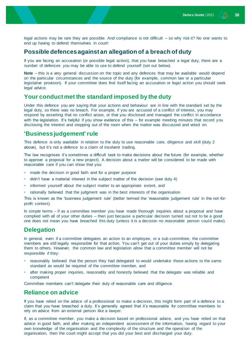legal actions may be rare they are possible. And compliance is not difficult – so why risk it? No one wants to end up having to defend themselves in court!

#### <span id="page-37-0"></span>**Possible defences against an allegation of a breach of duty**

If you are facing an accusation (or possible legal action), that you have breached a legal duty, there are a number of defences you may be able to use to defend yourself (set out below).

**Note** – this is a very general discussion on the topic and any defences that may be available would depend on the particular circumstances and the source of the duty (for example, common law or a particular legislative provision). If your committee does find itself facing an accusation or legal action you should seek legal advice.

#### <span id="page-37-1"></span>**Your conduct met the standard imposed by the duty**

Under this defence you are saying that your actions and behaviour are in line with the standard set by the legal duty, so there was no breach. For example, if you are accused of a conflict of interest, you may respond by asserting that no conflict arose, or that you disclosed and managed the conflict in accordance with the legislation. It's helpful if you show evidence of this – for example meeting minutes that record you disclosing the interest and stepping out of the room when the matter was discussed and voted on.

#### <span id="page-37-2"></span>**'Business judgement' rule**

This defence is only available in relation to the duty to use reasonable care, diligence and skill (duty 2 above), but it's not a defence to a claim of insolvent trading.

The law recognises it's sometimes a difficult task to make decisions about the future (for example, whether to approve a proposal for a new project). A decision about a matter will be considered to be made with reasonable care if you can show that you:

- made the decision in good faith and for a proper purpose
- didn't have a material interest in the subject matter of the decision (see duty 4)
- informed yourself about the subject matter to an appropriate extent, and
- rationally believed that the judgment was in the best interests of the organisation

This is known as the 'business judgement rule' (better termed the 'reasonable judgement rule' in the not-forprofit context).

In simple terms – if as a committee member you have made thorough inquiries about a proposal and have complied with all of your other duties – then just because a particular decision turned out not to be a good one does not mean you have breached this duty (unless it is a decision no reasonable person could make).

#### <span id="page-37-3"></span>**Delegation**

In general, even if a committee delegates an action to an employee, or a sub-committee, the committee members are still legally responsible for that action. You can't get out of your duties simply by delegating them to others. However, the common law and legislation allow that a committee member will not be responsible if they:

- reasonably believed that the person they had delegated to would undertake those actions to the same standard as would be required of the committee member, and
- after making proper inquiries, reasonably and honestly believed that the delegate was reliable and competent

Committee members can't delegate their duty of reasonable care and diligence.

#### <span id="page-37-4"></span>**Reliance on advice**

If you have relied on the advice of a professional to make a decision, this might form part of a defence to a claim that you have breached a duty. It's generally agreed that it's reasonable for committee members to rely on advice from an external person like a lawyer.

If, as a committee member, you make a decision based on professional advice, and you have relied on that advice in good faith, and after making an independent assessment of the information, having regard to your own knowledge of the organisation and the complexity of the structure and the operation of the organisation, then the court might accept that you did your best and discharged your duty.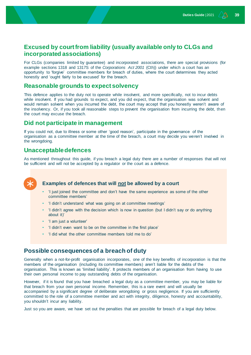### <span id="page-38-0"></span>**Excused by court from liability (usually available only to CLGs and incorporated associations)**

For CLGs (companies limited by guarantee) and incorporated associations, there are special provisions (for example sections 1318 and 1317S of the *Corporations Act 2001* (Cth)) under which a court has an opportunity to 'forgive' committee members for breach of duties, where the court determines they acted honestly and 'ought fairly to be excused' for the breach.

#### <span id="page-38-1"></span>**Reasonable grounds to expect solvency**

This defence applies to the duty not to operate while insolvent, and more specifically, not to incur debts while insolvent. If you had grounds to expect, and you did expect, that the organisation was solvent and would remain solvent when you incurred the debt, the court may accept that you honestly weren't aware of the insolvency. Or, if you took all reasonable steps to prevent the organisation from incurring the debt, then the court may excuse the breach.

#### <span id="page-38-2"></span>**Did not participate in management**

If you could not, due to illness or some other 'good reason', participate in the governance of the organisation as a committee member at the time of the breach, a court may decide you weren't involved in the wrongdoing.

#### <span id="page-38-3"></span>**Unacceptable defences**

As mentioned throughout this guide, if you breach a legal duty there are a number of responses that will not be sufficient and will not be accepted by a regulator or the court as a defence.



#### **Examples of defences that will not be allowed by a court**

- 'I just joined the committee and don't have the same experience as some of the other committee members'
- 'I didn't understand what was going on at committee meetings'
- 'I didn't agree with the decision which is now in question (but I didn't say or do anything about it)'
- 'I am just a volunteer'
- 'I didn't even want to be on the committee in the first place'
- 'I did what the other committee members told me to do'

#### <span id="page-38-4"></span>**Possible consequences of a breach of duty**

Generally when a not-for-profit organisation incorporates, one of the key benefits of incorporation is that the members of the organisation (including its committee members) aren't liable for the debts of the organisation. This is known as 'limited liability'. It protects members of an organisation from having to use their own personal income to pay outstanding debts of the organisation.

However, if it is found that you have breached a legal duty as a committee member, you may be liable for that breach from your own personal income. Remember, this is a rare event and will usually be accompanied by a significant degree of deliberate wrongdoing or gross negligence. If you are sufficiently committed to the role of a committee member and act with integrity, diligence, honesty and accountability, you shouldn't incur any liability.

Just so you are aware, we have set out the penalties that are possible for breach of a legal duty below.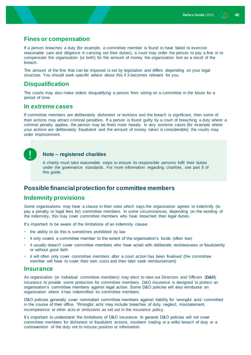#### <span id="page-39-0"></span>**Fines or compensation**

If a person breaches a duty (for example, a committee member is found to have failed to exercise reasonable care and diligence in carrying out their duties), a court may order the person to pay a fine or to compensate the organisation (or both) for the amount of money the organisation lost as a result of the breach.

The amount of the fine that can be imposed is set by legislation and differs depending on your legal structure. You should seek specific advice about this if it becomes relevant for you.

#### <span id="page-39-1"></span>**Disqualification**

The courts may also make orders disqualifying a person from sitting on a committee in the future for a period of time.

#### <span id="page-39-2"></span>**In extreme cases**

If committee members are deliberately dishonest or reckless and the breach is significant, then some of their actions may attract criminal penalties. If a person is found guilty by a court of breaching a duty where a criminal penalty applies, the person may be fined more heavily. In very extreme cases (for example where your actions are deliberately fraudulent and the amount of money taken is considerable) the courts may order imprisonment.

#### **Note – registered charities**

A charity must take reasonable steps to ensure its responsible persons fulfil their duties under the governance standards. For more information regarding charities, see part E of this guide.

### <span id="page-39-3"></span>**Possible financial protection for committee members**

#### <span id="page-39-4"></span>**Indemnity provisions**

Some organisations may have a clause in their rules which says the organisation agrees to indemnify (ie. pay a penalty or legal fees for) committee members. In some circumstances, depending on the wording of the indemnity, this may cover committee members who have breached their legal duties.

It's important to be aware of the limitations of an indemnity clause:

- the ability to do this is sometimes prohibited by law
- it only covers a committee member to the extent of the organisation's funds (often low)
- it usually doesn't cover committee members who have acted with deliberate recklessness or fraudulently or without good faith
- it will often only cover committee members after a court action has been finalised (the committee member will have to cover their own costs and then later seek reimbursement)

#### <span id="page-39-5"></span>**Insurance**

An organisation (or individual committee members) may elect to take out Directors and Officers (**D&O**) insurance to provide some protection for committee members. D&O insurance is designed to protect an organisation's committee members against legal action. Some D&O policies will also reimburse an organisation where it has indemnified its committee members.

D&O policies generally cover nominated committee members against liability for 'wrongful acts' committed in the course of their office. 'Wrongful acts' may include breaches of duty, neglect, misstatement, incompetence or other acts or omissions as set out in the insurance policy.

It's important to understand the limitations of D&O insurance. In general D&O policies will not cover committee members for dishonest or fraudulent actions, insolvent trading or a wilful breach of duty or a contravention of the duty not to misuse position or information.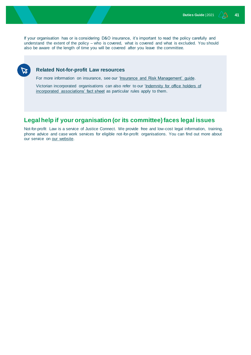If your organisation has or is considering D&O insurance, it's important to read the policy carefully and understand the extent of the policy – who is covered, what is covered and what is excluded. You should also be aware of the length of time you will be covered after you leave the committee.

#### **Related Not-for-profit Law resources**

For more information on insurance, see our ['Insurance and Risk Management' guide.](https://www.nfplaw.org.au/insurance)

Victorian incorporated organisations can also refer to our 'Indemnity for office holders of [incorporated associations' fact sheet](https://www.nfplaw.org.au/insurance) as particular rules apply to them.

### <span id="page-40-0"></span>**Legal help if your organisation (or its committee) faces legal issues**

Not-for-profit Law is a service of Justice Connect. We provide free and low-cost legal information, training, phone advice and case work services for eligible not-for-profit organisations. You can find out more about our service on [our website.](https://www.nfplaw.org.au/advice)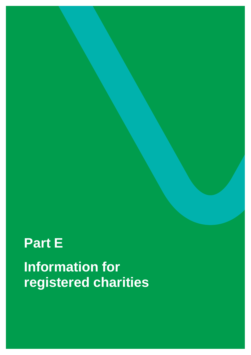# <span id="page-41-0"></span>**Part E Information for registered charities**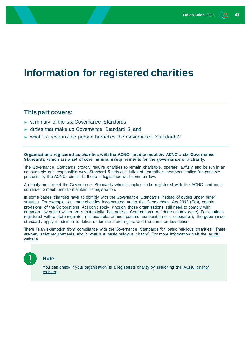## <span id="page-42-0"></span>**Information for registered charities**

#### **This part covers:**

- ► summary of the six Governance Standards
- ► duties that make up Governance Standard 5, and
- ► what if a responsible person breaches the Governance Standards?

**Organisations registered as charities with the ACNC need to meet the ACNC's six Governance Standards, which are a set of core minimum requirements for the governance of a charity.**

The Governance Standards broadly require charities to remain charitable, operate lawfully and be run in an accountable and responsible way. Standard 5 sets out duties of committee members (called 'responsible persons' by the ACNC) similar to those in legislation and common law.

A charity must meet the Governance Standards when it applies to be registered with the ACNC, and must continue to meet them to maintain its registration.

In some cases, charities have to comply with the Governance Standards instead of duties under other statutes. For example, for some charities incorporated under the *Corporations Act 2001* (Cth), certain provisions of the Corporations Act don't apply, (though those organisations still need to comply with common law duties which are substantially the same as Corporations Act duties in any case). For charities registered with a state regulator (for example, an incorporated association or co-operative), the governance standards apply in addition to duties under the state regime and the common law duties.

There is an exemption from compliance with the Governance Standards for 'basic religious charities'. There are very strict requirements about what is a 'basic religious charity'. For more information visit the ACNC [website.](https://www.acnc.gov.au/for-charities/manage/manage-my-charity-type/basic-religious-charities)



#### **Note**

You can check if your organisation is a registered charity by searching the ACNC charity [register.](https://www.acnc.gov.au/charity)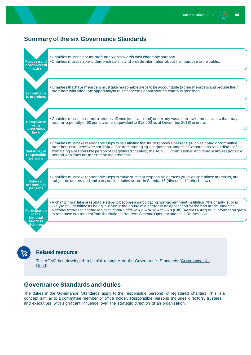### <span id="page-43-0"></span>**Summary of the six Governance Standards**



#### **Related resource**

The ACNC has developed a helpful resource on the Governance Standards ['Governance for](https://www.acnc.gov.au/tools/guides/governance-good-acncs-guide-charity-board-members)  [Good'.](https://www.acnc.gov.au/tools/guides/governance-good-acncs-guide-charity-board-members)

### <span id="page-43-1"></span>**Governance Standards and duties**

The duties in the Governance Standards apply to the 'responsible persons' of registered charities. This is a concept similar to a committee member or office holder. Responsible persons includes directors, trustees, and executives with significant influence over the strategic direction of an organisation.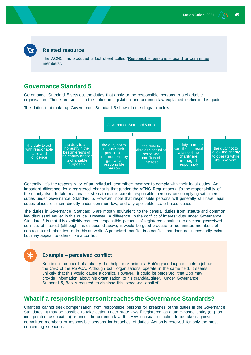#### **Related resource**

The ACNC has produced a fact sheet called ['Responsible persons –](https://www.acnc.gov.au/tools/factsheets/responsible-persons-board-or-committee-members) board or committee [members'.](https://www.acnc.gov.au/tools/factsheets/responsible-persons-board-or-committee-members)

#### <span id="page-44-0"></span>**Governance Standard 5**

Governance Standard 5 sets out the duties that apply to the responsible persons in a charitable organisation. These are similar to the duties in legislation and common law explained earlier in this guide.

The duties that make up Governance Standard 5 shown in the diagram below.



Generally, it's the responsibility of an individual committee member to comply with their legal duties. An important difference for a registered charity is that (under the ACNC Regulations) it's the responsibility of the charity itself to take reasonable steps to make sure its responsible persons are complying with their duties under Governance Standard 5. However, note that responsible persons will generally still have legal duties placed on them directly under common law, and any applicable state-based duties.

The duties in Governance Standard 5 are mostly equivalent to the general duties from statute and common law discussed earlier in this guide. However, a difference in the conflict of interest duty under Governance Standard 5 is that this explicitly requires responsible persons of registered charities to disclose *perceived* conflicts of interest (although, as discussed above, it would be good practice for committee members of non-registered charities to do this as well). A perceived conflict is a conflict that does not necessarily exist but may appear to others like a conflict.

#### **Example – perceived conflict**

Bob is on the board of a charity that helps sick animals. Bob's granddaughter gets a job as the CEO of the RSPCA. Although both organisations operate in the same field, it seems unlikely that this would cause a conflict. However, it could be perceived that Bob may provide information about his organisation to his granddaughter. Under Governance Standard 5, Bob is required to disclose this 'perceived conflict'.

#### <span id="page-44-1"></span>**What if a responsible person breaches the Governance Standards?**

Charities cannot seek compensation from responsible persons for breaches of the duties in the Governance Standards. It may be possible to take action under state laws if registered as a state-based entity (e.g. an incorporated association) or under the common law. It is very unusual for action to be taken against committee members or responsible persons for breaches of duties. Action is reserved for only the most concerning scenarios.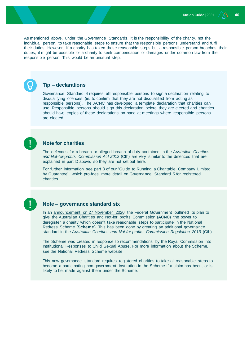As mentioned above, under the Governance Standards, it is the responsibility of the charity, not the individual person, to take reasonable steps to ensure that the responsible persons understand and fulfil their duties. However, if a charity has taken those reasonable steps but a responsible person breaches their duties, it might be possible for a charity to seek compensation or damages under common law from the responsible person. This would be an unusual step.

#### **Tip – declarations**

Governance Standard 4 requires **all** responsible persons to sign a declaration relating to disqualifying offences (ie. to confirm that they are not disqualified from acting as responsible persons). The ACNC has developed a [template declaration](https://www.acnc.gov.au/tools/templates/declaration-responsible-persons) that charities can use. Responsible persons should sign this declaration before they are elected and charities should have copies of these declarations on hand at meetings where responsible persons are elected.

#### **Note for charities**

The defences for a breach or alleged breach of duty contained in the *Australian Charities and Not-for-profits Commission Act 2012* (Cth) are very similar to the defences that are explained in part D above, so they are not set out here.

For further information see part 3 of our ['Guide to Running a Charitable Company Limited](https://www.nfplaw.org.au/toolkits)  [by Guarantee',](https://www.nfplaw.org.au/toolkits) which provides more detail on Governance Standard 5 for registered charities.

#### **Note – governance standard six**

In an [announcement on 27 November 2020,](https://ministers.dss.gov.au/media-releases/6546) the Federal Government outlined its plan to give the Australian Charities and Not-for profits Commission (**ACNC**) the power to deregister a charity which doesn't take reasonable steps to participate in the National Redress Scheme (**Scheme**). This has been done by creating an additional governance standard in the *Australian Charities and Not-for-profits Commission Regulation 2013* (Cth).

The Scheme was created in response t[o recommendations](https://www.childabuseroyalcommission.gov.au/recommendations) by the Royal Commission into [Institutional Responses to Child Sexual Abuse.](https://www.childabuseroyalcommission.gov.au/) For more information about the Scheme, see the [National Redress Scheme website.](https://www.nationalredress.gov.au/)

This new governance standard requires registered charities to take all reasonable steps to become a participating non-government institution in the Scheme if a claim has been, or is likely to be, made against them under the Scheme.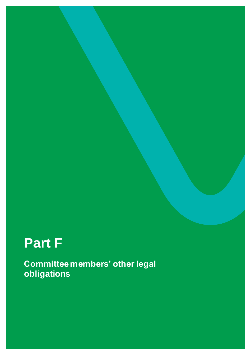# <span id="page-46-0"></span>**Part F**

**Committee members' other legal obligations**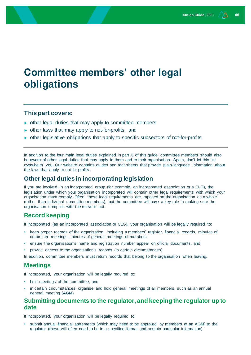## <span id="page-47-0"></span>**Committee members' other legal obligations**

#### **This part covers:**

- ► other legal duties that may apply to committee members
- ► other laws that may apply to not-for-profits, and
- ► other legislative obligations that apply to specific subsectors of not-for-profits

In addition to the four main legal duties explained in part C of this guide, committee members should also be aware of other legal duties that may apply to them and to their organisation. Again, don't let this list overwhelm you! [Our website](http://www.nfplaw.org.au/) contains guides and fact sheets that provide plain-language information about the laws that apply to not-for-profits.

#### <span id="page-47-1"></span>**Other legal duties in incorporating legislation**

If you are involved in an incorporated group (for example, an incorporated association or a CLG), the legislation under which your organisation incorporated will contain other legal requirements with which your organisation must comply. Often, these legal requirements are imposed on the organisation as a whole (rather than individual committee members), but the committee will have a key role in making sure the organisation complies with the relevant act.

#### <span id="page-47-2"></span>**Record keeping**

If incorporated (as an incorporated association or CLG), your organisation will be legally required to:

- keep proper records of the organisation, including a members' register, financial records, minutes of committee meetings, minutes of general meetings of members
- ensure the organisation's name and registration number appear on official documents, and
- provide access to the organisation's records (in certain circumstances)
- In addition, committee members must return records that belong to the organisation when leaving.

#### <span id="page-47-3"></span>**Meetings**

If incorporated, your organisation will be legally required to:

- hold meetings of the committee, and
- in certain circumstances, organise and hold general meetings of all members, such as an annual general meeting (**AGM**)

#### <span id="page-47-4"></span>**Submitting documents to the regulator, and keeping the regulator up to date**

If incorporated, your organisation will be legally required to:

• submit annual financial statements (which may need to be approved by members at an AGM) to the regulator (these will often need to be in a specified format and contain particular information)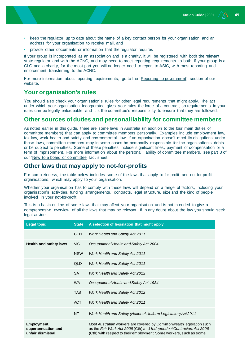- keep the regulator up to date about the name of a key contact person for your organisation and an address for your organisation to receive mail, and
- provide other documents or information that the regulator requires

If your group is incorporated as an association and is a charity, it will be registered with both the relevant state regulator and with the ACNC, and may need to meet reporting requirements to both. If your group is a CLG and a charity, for the most part you will no longer need to report to ASIC, with most reporting and enforcement transferring to the ACNC.

For more information about reporting requirements, go to the ['Reporting to government'](http://www.not-for-profitlaw.org.au/reporting) section of our website.

#### <span id="page-48-0"></span>**Your organisation's rules**

You should also check your organisation's rules for other legal requirements that might apply. The act under which your organisation incorporated gives your rules the force of a contract, so requirements in your rules can be legally enforceable and it is the committee's responsibility to ensure that they are followed.

#### <span id="page-48-1"></span>**Other sources of duties and personal liability for committee members**

As noted earlier in this guide, there are some laws in Australia (in addition to the four main duties of committee members) that can apply to committee members personally. Examples include employment law, tax law, work health and safety and environmental law. If an organisation doesn't meet its obligations under these laws, committee members may in some cases be personally responsible for the organisation's debts or be subject to penalties. Some of these penalties include significant fines, payment of compensation or a term of imprisonment. For more information about the personal liability of committee members, see part 3 of our ['New to a board or committee'](https://www.not-for-profitlaw.org.au/governance) fact sheet.

#### <span id="page-48-2"></span>**Other laws that may apply to not-for-profits**

For completeness, the table below includes some of the laws that apply to for-profit and not-for-profit organisations, which may apply to your organisation.

Whether your organisation has to comply with these laws will depend on a range of factors, including your organisation's activities, funding arrangements, contracts, legal structure, size and the kind of people involved in your not-for-profit.

This is a basic outline of some laws that may affect your organisation and is not intended to give a comprehensive overview of all the laws that may be relevant. If in any doubt about the law you should seek legal advice.

| <b>Legal topic</b>                                    | <b>State</b> | A selection of legislation that might apply                                                                                                                                                                        |
|-------------------------------------------------------|--------------|--------------------------------------------------------------------------------------------------------------------------------------------------------------------------------------------------------------------|
|                                                       | CTH          | Work Health and Safety Act 2011                                                                                                                                                                                    |
| <b>Health and safety laws</b>                         | VIC.         | Occupational Health and Safety Act 2004                                                                                                                                                                            |
|                                                       | <b>NSW</b>   | <b>Work Health and Safety Act 2011</b>                                                                                                                                                                             |
|                                                       | QLD          | <b>Work Health and Safety Act 2011</b>                                                                                                                                                                             |
|                                                       | <b>SA</b>    | <b>Work Health and Safety Act 2012</b>                                                                                                                                                                             |
|                                                       | WA.          | Occupational Health and Safety Act 1984                                                                                                                                                                            |
|                                                       | <b>TAS</b>   | <b>Work Health and Safety Act 2012</b>                                                                                                                                                                             |
|                                                       | <b>ACT</b>   | <b>Work Health and Safety Act 2011</b>                                                                                                                                                                             |
|                                                       | NT           | Work Health and Safety (National Uniform Legislation) Act2011                                                                                                                                                      |
| Employment,<br>superannuation and<br>unfair dismissal |              | Most Australian workers are covered by Commonwealth legislation such<br>as the Fair Work Act 2009 (Cth) and Independent Contractors Act 2006<br>(Cth) with respect to their employment. Some workers, such as some |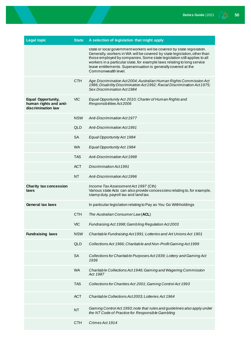| <b>Legal topic</b>                                                 | <b>State</b> | A selection of legislation that might apply                                                                                                                                                                                                                                                                                                                                                           |
|--------------------------------------------------------------------|--------------|-------------------------------------------------------------------------------------------------------------------------------------------------------------------------------------------------------------------------------------------------------------------------------------------------------------------------------------------------------------------------------------------------------|
|                                                                    |              | state or local government workers will be covered by state legislation.<br>Generally, workers in WA will be covered by state legislation, other than<br>those employed by companies. Some state legislation still applies to all<br>workers in a particular state, for example laws relating to long service<br>leave entitlements. Superannuation is generally covered at the<br>Commonwealth level. |
|                                                                    | <b>CTH</b>   | Age Discrimination Act2004; Australian Human Rights Commission Act<br>1986; Disability Discrimination Act 1992; Racial Discrimination Act 1975;<br>Sex Discrimination Act 1984                                                                                                                                                                                                                        |
| Equal Opportunity,<br>human rights and anti-<br>discrimination law | <b>VIC</b>   | Equal Opportunity Act 2010; Charter of Human Rights and<br>Responsibilities Act2006                                                                                                                                                                                                                                                                                                                   |
|                                                                    | <b>NSW</b>   | Anti-Discrimination Act 1977                                                                                                                                                                                                                                                                                                                                                                          |
|                                                                    | <b>QLD</b>   | <b>Anti-Discrimination Act 1991</b>                                                                                                                                                                                                                                                                                                                                                                   |
|                                                                    | <b>SA</b>    | Equal Opportunity Act 1984                                                                                                                                                                                                                                                                                                                                                                            |
|                                                                    | <b>WA</b>    | Equal Opportunity Act 1984                                                                                                                                                                                                                                                                                                                                                                            |
|                                                                    | <b>TAS</b>   | Anti-Discrimination Act 1998                                                                                                                                                                                                                                                                                                                                                                          |
|                                                                    | <b>ACT</b>   | Discrimination Act 1991                                                                                                                                                                                                                                                                                                                                                                               |
|                                                                    | <b>NT</b>    | Anti-Discrimination Act 1996                                                                                                                                                                                                                                                                                                                                                                          |
| <b>Charity tax concession</b><br>laws                              |              | Income Tax Assessment Act 1997 (Cth)<br>Various state Acts can also provide concessions relating to, for example,<br>stamp duty, payroll tax and land tax.                                                                                                                                                                                                                                            |
| General tax laws                                                   |              | In particular legislation relating to Pay as You Go Withholdings                                                                                                                                                                                                                                                                                                                                      |
|                                                                    | <b>CTH</b>   | The Australian Consumer Law (ACL)                                                                                                                                                                                                                                                                                                                                                                     |
|                                                                    | <b>VIC</b>   | Fundraising Act 1998; Gambling Regulation Act2003                                                                                                                                                                                                                                                                                                                                                     |
| <b>Fundraising laws</b>                                            | <b>NSW</b>   | Charitable Fundraising Act 1991; Lotteries and Art Unions Act 1901                                                                                                                                                                                                                                                                                                                                    |
|                                                                    | QLD          | Collections Act 1966; Charitable and Non-Profit Gaming Act 1999                                                                                                                                                                                                                                                                                                                                       |
|                                                                    | <b>SA</b>    | Collections for Charitable Purposes Act 1939; Lottery and Gaming Act<br>1936                                                                                                                                                                                                                                                                                                                          |
|                                                                    | <b>WA</b>    | Charitable Collections Act 1946; Gaming and Wagering Commission<br>Act 1987                                                                                                                                                                                                                                                                                                                           |
|                                                                    | <b>TAS</b>   | Collections for Charities Act 2001; Gaming Control Act 1993                                                                                                                                                                                                                                                                                                                                           |
|                                                                    | <b>ACT</b>   | Charitable Collections Act2003; Lotteries Act 1964                                                                                                                                                                                                                                                                                                                                                    |
|                                                                    | <b>NT</b>    | Gaming Control Act 1993; note that rules and guidelines also apply under<br>the NT Code of Practice for Responsible Gambling                                                                                                                                                                                                                                                                          |
|                                                                    | <b>CTH</b>   | Crimes Act 1914                                                                                                                                                                                                                                                                                                                                                                                       |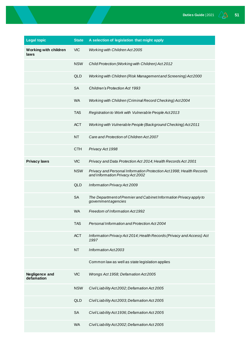| <b>Legal topic</b>                   | <b>State</b> | A selection of legislation that might apply                                                              |
|--------------------------------------|--------------|----------------------------------------------------------------------------------------------------------|
| <b>Working with children</b><br>laws | <b>VIC</b>   | Working with Children Act 2005                                                                           |
|                                      | <b>NSW</b>   | Child Protection (Working with Children) Act 2012                                                        |
|                                      | QLD          | Working with Children (Risk Management and Screening) Act2000                                            |
|                                      | <b>SA</b>    | <b>Children's Protection Act 1993</b>                                                                    |
|                                      | <b>WA</b>    | Working with Children (Criminal Record Checking) Act2004                                                 |
|                                      | <b>TAS</b>   | Registration to Work with Vulnerable People Act2013                                                      |
|                                      | <b>ACT</b>   | Working with Vulnerable People (Background Checking) Act2011                                             |
|                                      | <b>NT</b>    | Care and Protection of Children Act 2007                                                                 |
|                                      | <b>CTH</b>   | Privacy Act 1998                                                                                         |
| <b>Privacy laws</b>                  | <b>VIC</b>   | Privacy and Data Protection Act 2014; Health Records Act 2001                                            |
|                                      | <b>NSW</b>   | Privacy and Personal Information Protection Act 1998; Health Records<br>and Information Privacy Act 2002 |
|                                      | <b>QLD</b>   | Information Privacy Act 2009                                                                             |
|                                      | <b>SA</b>    | The Department of Premier and Cabinet Information Privacy apply to<br>governmentagencies                 |
|                                      | <b>WA</b>    | Freedom of Information Act 1992                                                                          |
|                                      | TAS.         | Personal Information and Protection Act 2004                                                             |
|                                      | <b>ACT</b>   | Information Privacy Act 2014; Health Records (Privacy and Access) Act<br>1997                            |
|                                      | <b>NT</b>    | Information Act2003                                                                                      |
|                                      |              | Common law as well as state legislation applies                                                          |
| Negligence and<br>defamation         | <b>VIC</b>   | Wrongs Act 1958; Defamation Act2005                                                                      |
|                                      | <b>NSW</b>   | Civil Liability Act2002; Defamation Act 2005                                                             |
|                                      | QLD          | Civil Liability Act2003; Defamation Act 2005                                                             |
|                                      | <b>SA</b>    | Civil Liability Act 1936; Defamation Act 2005                                                            |
|                                      | <b>WA</b>    | Civil Liability Act2002; Defamation Act 2005                                                             |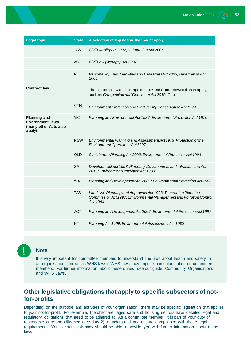| <b>Legal topic</b>                                                                | <b>State</b> | A selection of legislation that might apply                                                                                                     |
|-----------------------------------------------------------------------------------|--------------|-------------------------------------------------------------------------------------------------------------------------------------------------|
|                                                                                   | <b>TAS</b>   | Civil Liability Act2002; Defamation Act 2005                                                                                                    |
|                                                                                   | <b>ACT</b>   | Civil Law (Wrongs) Act 2002                                                                                                                     |
|                                                                                   | <b>NT</b>    | Personal Injuries (Liabilities and Damages) Act 2003; Defamation Act<br>2006                                                                    |
| <b>Contract law</b>                                                               |              | The common law and a range of state and Commonwealth Acts apply,<br>such as Competition and Consumer Act2010 (Cth)                              |
|                                                                                   | <b>CTH</b>   | Environment Protection and Biodiversity Conservation Act 1999                                                                                   |
| <b>Planning and</b><br><b>Environment laws</b><br>(many other Acts also<br>apply) | <b>VIC</b>   | Planning and Environment Act 1987; Environment Protection Act 1970                                                                              |
|                                                                                   | <b>NSW</b>   | Environmental Planning and Assessment Act 1979; Protection of the<br>Environment Operations Act 1997                                            |
|                                                                                   | <b>QLD</b>   | Sustainable Planning Act2009; Environmental Protection Act 1994                                                                                 |
|                                                                                   | <b>SA</b>    | Development Act 1993; Planning, Development and Infrastructure Act<br>2016; Environment Protection Act 1993                                     |
|                                                                                   | <b>WA</b>    | Planning and Development Act2005; Environmental Protection Act 1986                                                                             |
|                                                                                   | <b>TAS</b>   | Land Use Planning and Approvals Act 1993; Tasmanian Planning<br>Commission Act 1997; Environmental Management and Pollution Control<br>Act 1994 |
|                                                                                   | <b>ACT</b>   | Planning and Development Act2007; Environmental Protection Act 1997                                                                             |
|                                                                                   | <b>NT</b>    | Planning Act 1999; Environmental Assessment Act 1982                                                                                            |



#### **Note**

It is very important for committee members to understand the laws about health and safety in an organisation (known as WHS laws). WHS laws may impose particular duties on committee members. For further information about these duties, see our guide: Community Organisations [and WHS Laws.](https://not-for-profitlaw.org.au/OHS)

### <span id="page-51-0"></span>**Other legislative obligations that apply to specific subsectors of notfor-profits**

Depending on the purpose and activities of your organisation, there may be specific legislation that applies to your not-for-profit. For example, the childcare, aged care and housing sectors have detailed legal and regulatory obligations that need to be adhered to. As a committee member, it is part of your duty of reasonable care and diligence (see duty 2) to understand and ensure compliance with these legal requirements. Your sector peak body should be able to provide you with further information about these laws.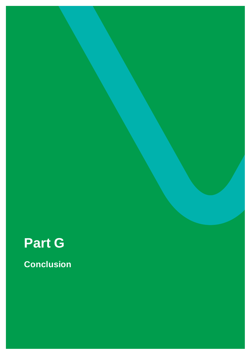# <span id="page-52-0"></span>**Part G**

**Conclusion**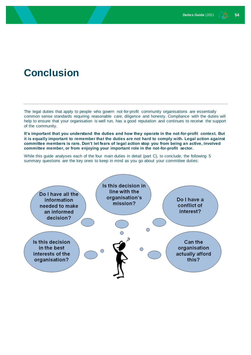## <span id="page-53-0"></span>**Conclusion**

The legal duties that apply to people who govern not-for-profit community organisations are essentially common sense standards requiring reasonable care, diligence and honesty. Compliance with the duties will help to ensure that your organisation is well run, has a good reputation and continues to receive the support of the community.

**It's important that you understand the duties and how they operate in the not-for-profit context. But it is equally important to remember that the duties are not hard to comply with. Legal action against committee members is rare. Don't let fears of legal action stop you from being an active, involved committee member, or from enjoying your important role in the not-for-profit sector.**

While this guide analyses each of the four main duties in detail (part C), to conclude, the following 5 summary questions are the key ones to keep in mind as you go about your committee duties:

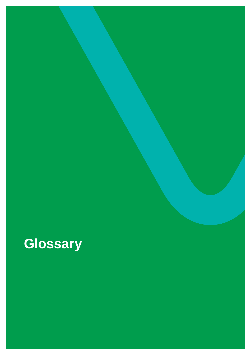# <span id="page-54-0"></span>**Glossary**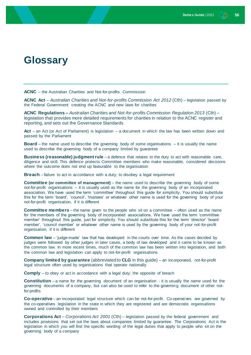## **Glossary**

**ACNC** – the Australian Charities and Not-for-profits Commission

**ACNC Act** – *Australian Charities and Not-for-profits Commission Act 2012* (Cth) – legislation passed by the Federal Government creating the ACNC and new laws for charities

**ACNC Regulations –** *Australian Charities and Not-for-profits Commission Regulation 2013* (Cth) – legislation that provides more detailed requirements for charities in relation to the ACNC register and reporting, and sets out the Governance Standards

**Act** – an Act (or Act of Parliament) is legislation – a document in which the law has been written down and passed by the Parliament

**Board** – the name used to describe the governing body of some organisations – it is usually the name used to describe the governing body of a company limited by guarantee

**Business (reasonable) judgment rule** – a defence that relates to the duty to act with reasonable care, diligence and skill. This defence protects Committee members who make reasonable, considered decisions where the outcome does not end up favourable to the organisation

**Breach** – failure to act in accordance with a duty; to disobey a legal requirement

**Committee** (or committee of management) – the name used to describe the governing body of some not-for-profit organisations – it is usually used as the name for the governing body of an incorporated association. We have used the term 'committee' throughout this guide for simplicity. You should substitute this for the term 'board', 'council', 'trustees' or whatever other name is used for the governing body of your not-for-profit organisation, if it is different

**Committee members** – the name given to the people who sit on a committee – often used as the name for the members of the governing body of incorporated associations. We have used the term 'committee member' throughout this guide, just for simplicity. You should substitute this for the term 'director' 'board member', 'council member' or whatever other name is used by the governing body of your not-for-profit organisation, if it is different

**Common law** – 'judge-made' law that has developed in the courts over time. As the cases decided by judges were followed by other judges in later cases, a body of law developed and it came to be known as the common law. In more recent times, much of the common law has been written into legislation, and both the common law and legislation can apply to not-for-profit organisations

**Company limited by guarantee** (abbreviated to **CLG** in this guide) – an incorporated, not-for-profit legal structure often used by organisations that operate nationally

**Comply** – to obey or act in accordance with a legal duty; the opposite of breach

**Constitution** – a name for the governing document of an organisation - it is usually the name used for the governing documents of a company, but can also be used to refer to the governing document of other notfor-profits

**Co-operative** – an incorporated legal structure which can be not-for-profit. Co-operatives are governed by the co-operatives legislation in the state in which they are registered and are democratic organisations owned and controlled by their members

**Corporations Act** – *Corporations Act 2001* (Cth) – legislation passed by the federal government and includes provisions that set out the laws about companies limited by guarantee. The Corporations Act is the legislation in which you will find the specific wording of the legal duties that apply to people who sit on the governing body of a company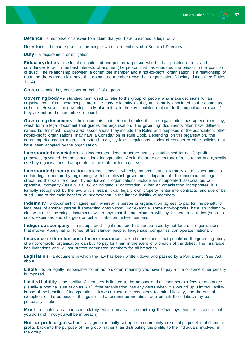**Defence** – a response or answer to a claim that you have breached a legal duty

**Directors** – the name given to the people who are members of a Board of Directors

**Duty** – a requirement or obligation

**Fiduciary duties** – the legal obligation of one person (a person who holds a position of trust and confidence) to act in the best interests of another (the person that has entrusted the person in the position of trust). The relationship between a committee member and a not-for-profit organisation is a relationship of trust and the common law says that committee members owe their organisation fiduciary duties (see Duties  $1 - 4$ )

**Govern** – make key decisions on behalf of a group

**Governing body** – a standard term used to refer to the group of people who make decisions for an organisation. Often these people are quite easy to identify as they are formally appointed to the committee or board. However the governing body also refers to the key 'decision makers' in the organisation even if they are not on the committee or board

**Governing documents** – the documents that set out the rules that the organisation has agreed to run by, which form a legal document that guides the organisation. The governing documents often have different names but for most incorporated associations they include the Rules and purposes of the association; other not-for-profit organisations may have a Constitution or Rule Book. Depending on the organisation, the governing documents might also extend to any by-laws, regulations, codes of conduct or other policies that have been adopted by the organisation

**Incorporated association** – an incorporated legal structure, usually established for not-for-profit purposes, governed by the associations incorporation Act in the state or territory of registration and typically used by organisations that operate at the state or territory level

**Incorporated / incorporation** – a formal process whereby an organisation formally establishes under a certain legal structure by 'registering' with the relevant government department. The incorporated legal structures that can be chosen by not-for-profit organisations include an incorporated association, cooperative, company (usually a CLG) or Indigenous corporation. When an organisation incorporates it is formally recognised by the law, which means it can legally own property, enter into contracts, and sue or be sued. One of the main benefits of incorporation is the limited liability of members

**Indemnity** – a document or agreement whereby a person or organisation agrees to pay for the penalty or legal fees of another person if something goes wrong. For example, some not-for-profits have an indemnity clause in their governing documents which says that the organisation will pay for certain liabilities (such as costs, expenses and charges) on behalf of its committee members

**Indigenous company** – an incorporated legal structure that can be used by not-for-profit organisations that involve Aboriginal or Torres Strait Islander people. Indigenous companies can operate nationally

**Insurance or directors and officers insurance** – a kind of insurance that people on the governing body of a not-for-profit organisation can buy to pay for them in the event of a breach of the duties. The insurance has limitations and will not protect committee members for all breaches

**Legislation** – a document in which the law has been written down and passed by a Parliament. See **Act**  above.

**Liable** – to be legally responsible for an action, often meaning you have to pay a fine or some other penalty is imposed

**Limited liability** – the liability of members is limited to the amount of their membership fees or guarantee (usually a nominal sum such as \$10) if the organisation has any debts when it is wound up. Limited liability is one of the benefits of incorporation. However there are exceptions to limited liability, and the critical exception for the purpose of this guide is that committee members who breach their duties may be personally liable

**Must** – indicates an action is mandatory, which means it is something the law says that it is essential that you do (and if not you will be in breach)

**Not-for-profit organisation** – any group (usually set up for a community or social purpose) that directs its profits back into the purpose of the group, rather than distributing the profits to the individuals involved in the group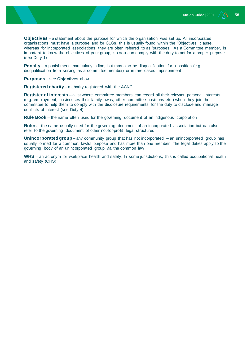**Objectives** – a statement about the purpose for which the organisation was set up. All incorporated organisations must have a purpose and for CLGs, this is usually found within the 'Objectives' clause, whereas for incorporated associations, they are often referred to as 'purposes'. As a Committee member, is important to know the objectives of your group, so you can comply with the duty to act for a proper purpose (see Duty 1)

**Penalty** – a punishment; particularly a fine, but may also be disqualification for a position (e.g. disqualification from serving as a committee member) or in rare cases imprisonment

**Purposes** – see **Objectives** above.

**Registered charity** – a charity registered with the ACNC

**Register of interests** – a list where committee members can record all their relevant personal interests (e.g. employment, businesses their family owns, other committee positions etc.) when they join the committee to help them to comply with the disclosure requirements for the duty to disclose and manage conflicts of interest (see Duty 4)

**Rule Book** – the name often used for the governing document of an Indigenous corporation

**Rules** – the name usually used for the governing document of an incorporated association but can also refer to the governing document of other not-for-profit legal structures

**Unincorporated group** – any community group that has not incorporated – an unincorporated group has usually formed for a common, lawful purpose and has more than one member. The legal duties apply to the governing body of an unincorporated group via the common law

**WHS** – an acronym for workplace health and safety. In some jurisdictions, this is called occupational health and safety (OHS)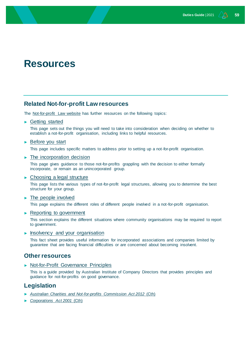## <span id="page-58-0"></span>**Resources**

### **Related Not-for-profit Law resources**

The [Not-for-profit Law website](http://www.nfplaw.org.au/) has further resources on the following topics:

#### ► [Getting started](https://www.nfplaw.org.au/gettingstarted)

This page sets out the things you will need to take into consideration when deciding on whether to establish a not-for-profit organisation, including links to helpful resources.

#### ► [Before you start](https://www.nfplaw.org.au/beforeyoustart)

This page includes specific matters to address prior to setting up a not-for-profit organisation.

► [The incorporation decision](https://www.nfplaw.org.au/incorporationdecision)

This page gives guidance to those not-for-profits grappling with the decision to either formally incorporate, or remain as an unincorporated group.

#### ► [Choosing a legal structure](https://www.nfplaw.org.au/legalstructure)

This page lists the various types of not-for-profit legal structures, allowing you to determine the best structure for your group.

#### ► [The people involved](http://www.nfpalw.org.au/people)

This page explains the different roles of different people involved in a not-for-profit organisation.

#### ► [Reporting to government](http://www.nfplaw.org.au/reporting)

This section explains the different situations where community organisations may be required to report to government.

#### ► [Insolvency and your organisation](https://www.nfplaw.org.au/governance)

This fact sheet provides useful information for incorporated associations and companies limited by guarantee that are facing financial difficulties or are concerned about becoming insolvent.

#### **Other resources**

► [Not-for-Profit Governance Principles](https://aicd.companydirectors.com.au/resources/not-for-profit-resources/not-for-profit-governance-principles)

This is a guide provided by Australian Institute of Company Directors that provides principles and guidance for not-for-profits on good governance.

#### **Legislation**

- ► *[Australian Charities and Not-for-profits Commission Act 2012](http://www.austlii.edu.au/au/legis/cth/num_act/acanca2012523/)* (Cth)
- ► *[Corporations Act 2001](http://www.austlii.edu.au/au/legis/cth/consol_act/ca2001172/)* (Cth)